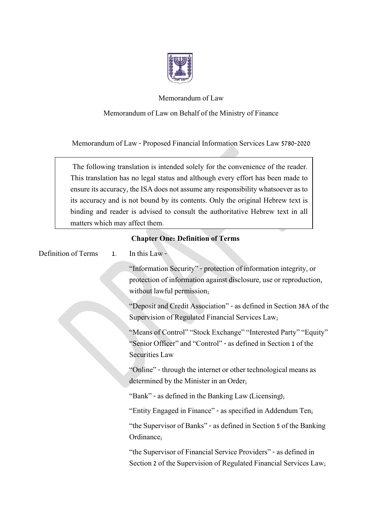

### Memorandum of Law

### Memorandum of Law on Behalf of the Ministry of Finance

Memorandum of Law - Proposed Financial Information Services Law 5780-2020

The following translation is intended solely for the convenience of the reader. This translation has no legal status and although every effort has been made to ensure its accuracy, the ISA does not assume any responsibility whatsoever as to its accuracy and is not bound by its contents. Only the original Hebrew text is binding and reader is advised to consult the authoritative Hebrew text in all matters which may affect them.

| Definition of Terms | 1. | In this Law -                                                                                                                                                        |
|---------------------|----|----------------------------------------------------------------------------------------------------------------------------------------------------------------------|
|                     |    | "Information Security" - protection of information integrity, or<br>protection of information against disclosure, use or reproduction,<br>without lawful permission, |
|                     |    | "Deposit and Credit Association" - as defined in Section 38A of the<br>Supervision of Regulated Financial Services Law,                                              |
|                     |    | "Means of Control" "Stock Exchange" "Interested Party" "Equity"<br>"Senior Officer" and "Control" - as defined in Section 1 of the<br><b>Securities Law</b>          |
|                     |    | "Online" - through the internet or other technological means as<br>determined by the Minister in an Order,                                                           |
|                     |    | "Bank" - as defined in the Banking Law (Licensing);                                                                                                                  |
|                     |    | "Entity Engaged in Finance" - as specified in Addendum Ten,                                                                                                          |
|                     |    | "the Supervisor of Banks" - as defined in Section 5 of the Banking<br>Ordinance;                                                                                     |
|                     |    | "the Supervisor of Financial Service Providers" - as defined in<br>Section 2 of the Supervision of Regulated Financial Services Law,                                 |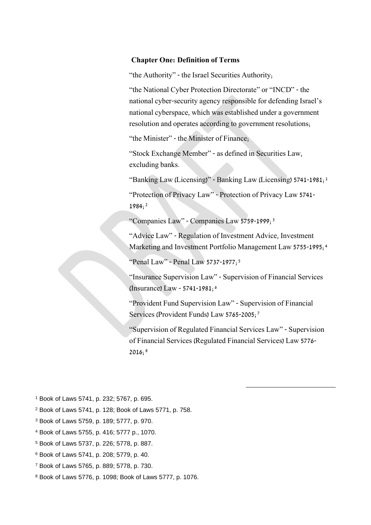"the Authority" - the Israel Securities Authority;

"the National Cyber Protection Directorate" or "INCD" - the national cyber-security agency responsible for defending Israel's national cyberspace, which was established under a government resolution and operates according to government resolutions;

"the Minister" - the Minister of Finance;

"Stock Exchange Member" - as defined in Securities Law, excluding banks.

"Banking Law (Licensing)" - Banking Law (Licensing) 5741-1981; 1

"Protection of Privacy Law" - Protection of Privacy Law 5741- 1984; 2

"Companies Law" - Companies Law 5759-1999; 3

"Advice Law" - Regulation of Investment Advice, Investment Marketing and Investment Portfolio Management Law 5755-1995; 4

"Penal Law" - Penal Law 5737-1977; 5

"Insurance Supervision Law" - Supervision of Financial Services (Insurance) Law - 5741-1981; 6

"Provident Fund Supervision Law" - Supervision of Financial Services (Provident Funds) Law 5765-2005; 7

"Supervision of Regulated Financial Services Law" - Supervision of Financial Services (Regulated Financial Services) Law 5776- 2016; 8

-

<sup>1</sup> Book of Laws 5741, p. 232; 5767, p. 695.

<sup>2</sup> Book of Laws 5741, p. 128; Book of Laws 5771, p. 758.

<sup>3</sup> Book of Laws 5759, p. 189; 5777, p. 970.

<sup>4</sup> Book of Laws 5755, p. 416; 5777 p., 1070.

<sup>5</sup> Book of Laws 5737, p. 226; 5778, p. 887.

<sup>6</sup> Book of Laws 5741, p. 208; 5779, p. 40.

<sup>7</sup> Book of Laws 5765, p. 889; 5778, p. 730.

<sup>8</sup> Book of Laws 5776, p. 1098; Book of Laws 5777, p. 1076.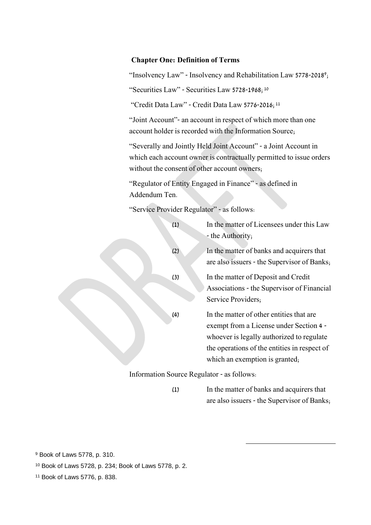"Insolvency Law" - Insolvency and Rehabilitation Law 5778-2018<sup>9</sup>;

"Securities Law" - Securities Law 5728-1968;<sup>10</sup>

"Credit Data Law" - Credit Data Law 5776-2016; 11

"Joint Account"- an account in respect of which more than one account holder is recorded with the Information Source;

"Severally and Jointly Held Joint Account" - a Joint Account in which each account owner is contractually permitted to issue orders without the consent of other account owners;

"Regulator of Entity Engaged in Finance" - as defined in Addendum Ten.

"Service Provider Regulator" - as follows:

| (1) | In the matter of Licensees under this Law<br>- the Authority;                                                                                                                                                      |
|-----|--------------------------------------------------------------------------------------------------------------------------------------------------------------------------------------------------------------------|
| (2) | In the matter of banks and acquirers that<br>are also issuers - the Supervisor of Banks,                                                                                                                           |
| (3) | In the matter of Deposit and Credit<br>Associations - the Supervisor of Financial<br>Service Providers;                                                                                                            |
| (4) | In the matter of other entities that are<br>exempt from a License under Section 4 -<br>whoever is legally authorized to regulate<br>the operations of the entities in respect of<br>which an exemption is granted, |
|     | Information Source Regulator - as follows.                                                                                                                                                                         |

Source Regulator - as follows:

(1) In the matter of banks and acquirers that are also issuers - the Supervisor of Banks;

-

<sup>9</sup> Book of Laws 5778, p. 310.

<sup>10</sup> Book of Laws 5728, p. 234; Book of Laws 5778, p. 2.

<sup>11</sup> Book of Laws 5776, p. 838.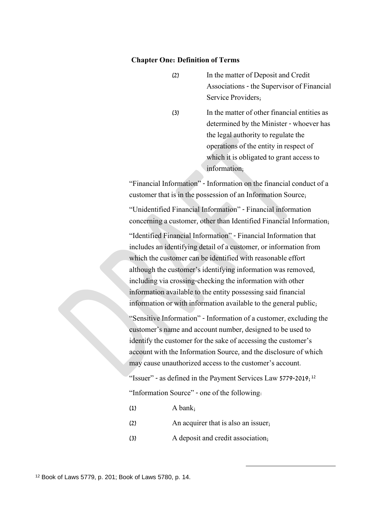- (2) In the matter of Deposit and Credit Associations - the Supervisor of Financial Service Providers;
- (3) In the matter of other financial entities as determined by the Minister - whoever has the legal authority to regulate the operations of the entity in respect of which it is obligated to grant access to information;

"Financial Information" - Information on the financial conduct of a customer that is in the possession of an Information Source;

"Unidentified Financial Information" - Financial information concerning a customer, other than Identified Financial Information;

"Identified Financial Information" - Financial Information that includes an identifying detail of a customer, or information from which the customer can be identified with reasonable effort although the customer's identifying information was removed, including via crossing-checking the information with other information available to the entity possessing said financial information or with information available to the general public;

"Sensitive Information" - Information of a customer, excluding the customer's name and account number, designed to be used to identify the customer for the sake of accessing the customer's account with the Information Source, and the disclosure of which may cause unauthorized access to the customer's account.

"Issuer" - as defined in the Payment Services Law  $5779-2019$ ;<sup>12</sup> "Information Source" - one of the following:

-

- $(1)$  A bank:
- (2) An acquirer that is also an issuer;
- (3) A deposit and credit association;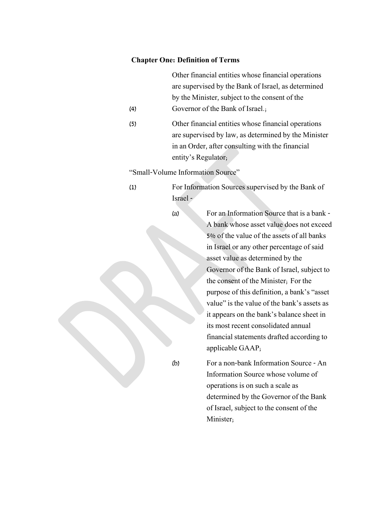Other financial entities whose financial operations are supervised by the Bank of Israel, as determined by the Minister, subject to the consent of the Governor of the Bank of Israel.;

(5) Other financial entities whose financial operations are supervised by law, as determined by the Minister in an Order, after consulting with the financial entity's Regulator;

"Small-Volume Information Source"

(1) For Information Sources supervised by the Bank of Israel -

(4)

(a) For an Information Source that is a bank - A bank whose asset value does not exceed 5% of the value of the assets of all banks in Israel or any other percentage of said asset value as determined by the Governor of the Bank of Israel, subject to the consent of the Minister; For the purpose of this definition, a bank's "asset value" is the value of the bank's assets as it appears on the bank's balance sheet in its most recent consolidated annual financial statements drafted according to applicable GAAP;

(b) For a non-bank Information Source - An Information Source whose volume of operations is on such a scale as determined by the Governor of the Bank of Israel, subject to the consent of the Minister;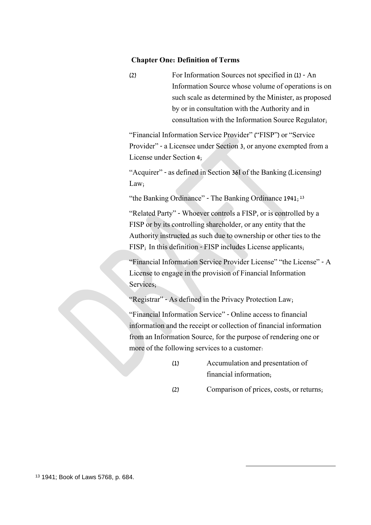(2) For Information Sources not specified in (1) - An Information Source whose volume of operations is on such scale as determined by the Minister, as proposed by or in consultation with the Authority and in consultation with the Information Source Regulator;

"Financial Information Service Provider" ("FISP") or "Service Provider" - a Licensee under Section 3, or anyone exempted from a License under Section 4;

"Acquirer" - as defined in Section 36I of the Banking (Licensing) Law;

"the Banking Ordinance" - The Banking Ordinance 1941;<sup>13</sup>

"Related Party" - Whoever controls a FISP, or is controlled by a FISP or by its controlling shareholder, or any entity that the Authority instructed as such due to ownership or other ties to the FISP; In this definition - FISP includes License applicants;

"Financial Information Service Provider License" "the License" - A License to engage in the provision of Financial Information Services;

"Registrar" - As defined in the Privacy Protection Law;

"Financial Information Service" - Online access to financial information and the receipt or collection of financial information from an Information Source, for the purpose of rendering one or more of the following services to a customer:

- (1) Accumulation and presentation of financial information;
- (2) Comparison of prices, costs, or returns;

-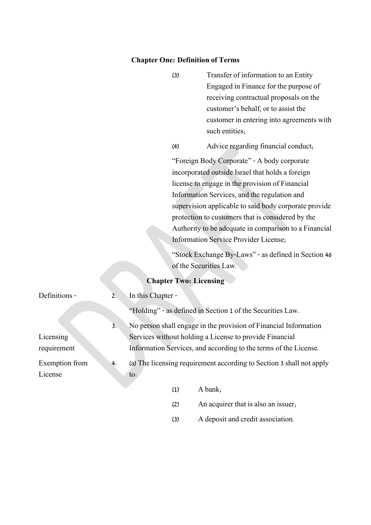- (3) Transfer of information to an Entity Engaged in Finance for the purpose of receiving contractual proposals on the customer's behalf, or to assist the customer in entering into agreements with such entities;
- (4) Advice regarding financial conduct;

"Foreign Body Corporate" - A body corporate incorporated outside Israel that holds a foreign license to engage in the provision of Financial Information Services, and the regulation and supervision applicable to said body corporate provide protection to customers that is considered by the Authority to be adequate in comparison to a Financial Information Service Provider License;

"Stock Exchange By-Laws" - as defined in Section 46 of the Securities Law.

### **Chapter Two: Licensing**

| Definitions -         | 2. | In this Chapter -                                                    |  |  |  |
|-----------------------|----|----------------------------------------------------------------------|--|--|--|
|                       |    | "Holding" - as defined in Section 1 of the Securities Law.           |  |  |  |
|                       | 3. | No person shall engage in the provision of Financial Information     |  |  |  |
| Licensing             |    | Services without holding a License to provide Financial              |  |  |  |
| requirement           |    | Information Services, and according to the terms of the License.     |  |  |  |
| <b>Exemption</b> from | 4. | (a) The licensing requirement according to Section 3 shall not apply |  |  |  |
| License               |    | $\mathfrak{to}$ :                                                    |  |  |  |
|                       |    | A bank;<br>(1)                                                       |  |  |  |

- (2) An acquirer that is also an issuer;
- (3) A deposit and credit association.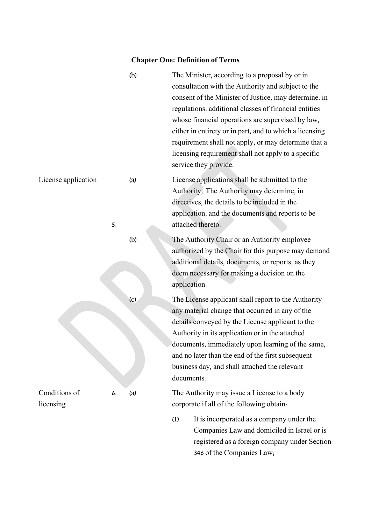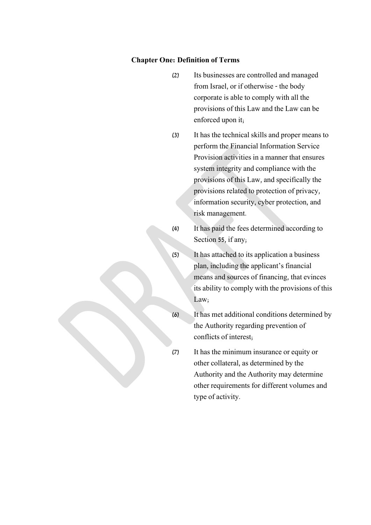(2) Its businesses are controlled and managed from Israel, or if otherwise - the body corporate is able to comply with all the provisions of this Law and the Law can be enforced upon it; (3) It has the technical skills and proper means to perform the Financial Information Service Provision activities in a manner that ensures system integrity and compliance with the provisions of this Law, and specifically the provisions related to protection of privacy, information security, cyber protection, and risk management. (4) It has paid the fees determined according to Section 55, if any; (5) It has attached to its application a business plan, including the applicant's financial means and sources of financing, that evinces its ability to comply with the provisions of this Law; (6) It has met additional conditions determined by the Authority regarding prevention of conflicts of interest; (7) It has the minimum insurance or equity or other collateral, as determined by the Authority and the Authority may determine

other requirements for different volumes and

type of activity.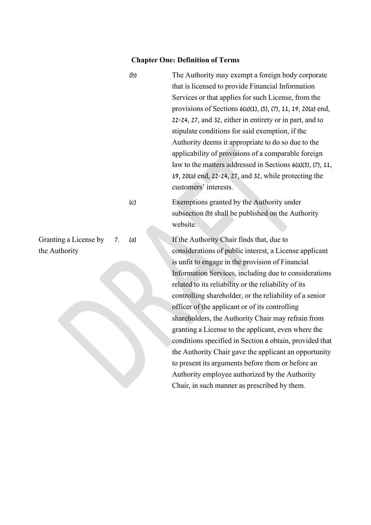(b) The Authority may exempt a foreign body corporate that is licensed to provide Financial Information Services or that applies for such License, from the provisions of Sections 6(a)(1), (5), (7), 11, 19, 20(a) end, 22-24, 27, and 32, either in entirety or in part, and to stipulate conditions for said exemption, if the Authority deems it appropriate to do so due to the applicability of provisions of a comparable foreign law to the matters addressed in Sections 6(a)(5), (7), 11, 19, 20(a) end, 22-24, 27, and 32, while protecting the customers' interests.

(c) Exemptions granted by the Authority under subsection (b) shall be published on the Authority website.

7. (a) If the Authority Chair finds that, due to considerations of public interest, a License applicant is unfit to engage in the provision of Financial Information Services, including due to considerations related to its reliability or the reliability of its controlling shareholder, or the reliability of a senior officer of the applicant or of its controlling shareholders, the Authority Chair may refrain from granting a License to the applicant, even where the conditions specified in Section 6 obtain, provided that the Authority Chair gave the applicant an opportunity to present its arguments before them or before an Authority employee authorized by the Authority Chair, in such manner as prescribed by them.

Granting a License by the Authority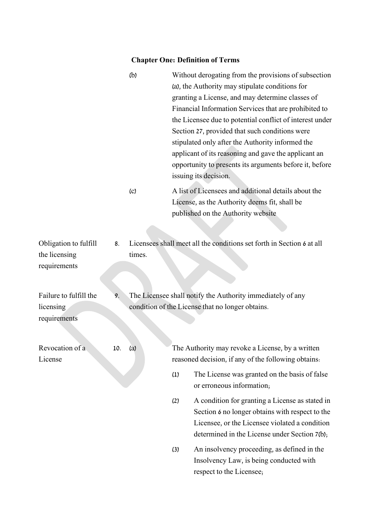|                                                        |     | (b)    |     | Without derogating from the provisions of subsection<br>(a), the Authority may stipulate conditions for<br>granting a License, and may determine classes of<br>Financial Information Services that are prohibited to<br>the Licensee due to potential conflict of interest under<br>Section 27, provided that such conditions were<br>stipulated only after the Authority informed the<br>applicant of its reasoning and gave the applicant an<br>opportunity to presents its arguments before it, before<br>issuing its decision. |
|--------------------------------------------------------|-----|--------|-----|------------------------------------------------------------------------------------------------------------------------------------------------------------------------------------------------------------------------------------------------------------------------------------------------------------------------------------------------------------------------------------------------------------------------------------------------------------------------------------------------------------------------------------|
|                                                        |     | (c)    |     | A list of Licensees and additional details about the<br>License, as the Authority deems fit, shall be<br>published on the Authority website                                                                                                                                                                                                                                                                                                                                                                                        |
| Obligation to fulfill<br>the licensing<br>requirements | 8.  | times. |     | Licensees shall meet all the conditions set forth in Section 6 at all                                                                                                                                                                                                                                                                                                                                                                                                                                                              |
| Failure to fulfill the<br>licensing<br>requirements    | 9.  |        |     | The Licensee shall notify the Authority immediately of any<br>condition of the License that no longer obtains.                                                                                                                                                                                                                                                                                                                                                                                                                     |
| Revocation of a<br>License                             | 10. | (a)    | (1) | The Authority may revoke a License, by a written<br>reasoned decision, if any of the following obtains.<br>The License was granted on the basis of false<br>or erroneous information;                                                                                                                                                                                                                                                                                                                                              |
|                                                        |     |        | (2) | A condition for granting a License as stated in<br>Section 6 no longer obtains with respect to the<br>Licensee, or the Licensee violated a condition<br>determined in the License under Section 7(b);                                                                                                                                                                                                                                                                                                                              |
|                                                        |     |        | (3) | An insolvency proceeding, as defined in the<br>Insolvency Law, is being conducted with<br>respect to the Licensee;                                                                                                                                                                                                                                                                                                                                                                                                                 |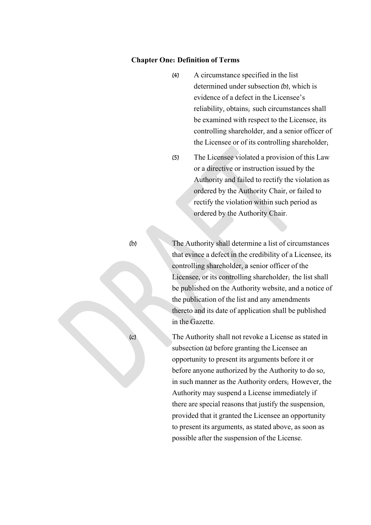- (4) A circumstance specified in the list determined under subsection (b), which is evidence of a defect in the Licensee's reliability, obtains; such circumstances shall be examined with respect to the Licensee, its controlling shareholder, and a senior officer of the Licensee or of its controlling shareholder;
- (5) The Licensee violated a provision of this Law or a directive or instruction issued by the Authority and failed to rectify the violation as ordered by the Authority Chair, or failed to rectify the violation within such period as ordered by the Authority Chair.

(b) The Authority shall determine a list of circumstances that evince a defect in the credibility of a Licensee, its controlling shareholder, a senior officer of the Licensee, or its controlling shareholder; the list shall be published on the Authority website, and a notice of the publication of the list and any amendments thereto and its date of application shall be published in the Gazette.

(c) The Authority shall not revoke a License as stated in subsection (a) before granting the Licensee an opportunity to present its arguments before it or before anyone authorized by the Authority to do so, in such manner as the Authority orders; However, the Authority may suspend a License immediately if there are special reasons that justify the suspension, provided that it granted the Licensee an opportunity to present its arguments, as stated above, as soon as possible after the suspension of the License.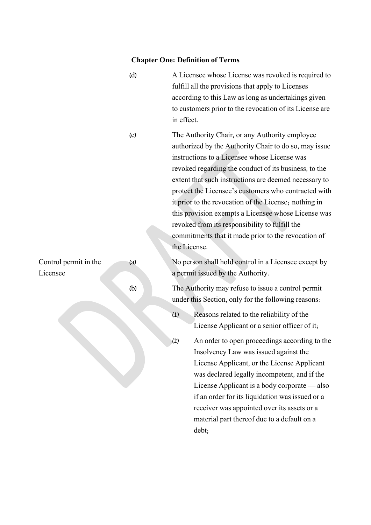|                       | (d) | A Licensee whose License was revoked is required to<br>fulfill all the provisions that apply to Licenses<br>according to this Law as long as undertakings given<br>to customers prior to the revocation of its License are<br>in effect.                                                                                                                                                                                                                                                                                                                                   |
|-----------------------|-----|----------------------------------------------------------------------------------------------------------------------------------------------------------------------------------------------------------------------------------------------------------------------------------------------------------------------------------------------------------------------------------------------------------------------------------------------------------------------------------------------------------------------------------------------------------------------------|
|                       | (e) | The Authority Chair, or any Authority employee<br>authorized by the Authority Chair to do so, may issue<br>instructions to a Licensee whose License was<br>revoked regarding the conduct of its business, to the<br>extent that such instructions are deemed necessary to<br>protect the Licensee's customers who contracted with<br>it prior to the revocation of the License; nothing in<br>this provision exempts a Licensee whose License was<br>revoked from its responsibility to fulfill the<br>commitments that it made prior to the revocation of<br>the License. |
| Control permit in the | (a) | No person shall hold control in a Licensee except by                                                                                                                                                                                                                                                                                                                                                                                                                                                                                                                       |
| Licensee              |     | a permit issued by the Authority.                                                                                                                                                                                                                                                                                                                                                                                                                                                                                                                                          |

Licensee

(b) The Authority may refuse to issue a control permit under this Section, only for the following reasons:

- (1) Reasons related to the reliability of the License Applicant or a senior officer of it;
- (2) An order to open proceedings according to the Insolvency Law was issued against the License Applicant, or the License Applicant was declared legally incompetent, and if the License Applicant is a body corporate — also if an order for its liquidation was issued or a receiver was appointed over its assets or a material part thereof due to a default on a debt;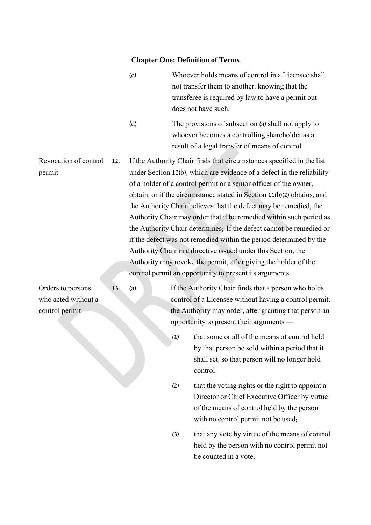|                                                            |     | (c) |     | Whoever holds means of control in a Licensee shall<br>not transfer them to another, knowing that the<br>transferee is required by law to have a permit but<br>does not have such.                                                                                                                                                                                                                                                                                                                                                                                                                                                                                                                                                                                                      |
|------------------------------------------------------------|-----|-----|-----|----------------------------------------------------------------------------------------------------------------------------------------------------------------------------------------------------------------------------------------------------------------------------------------------------------------------------------------------------------------------------------------------------------------------------------------------------------------------------------------------------------------------------------------------------------------------------------------------------------------------------------------------------------------------------------------------------------------------------------------------------------------------------------------|
|                                                            |     | (d) |     | The provisions of subsection (a) shall not apply to<br>whoever becomes a controlling shareholder as a<br>result of a legal transfer of means of control.                                                                                                                                                                                                                                                                                                                                                                                                                                                                                                                                                                                                                               |
| Revocation of control<br>permit                            | 12. |     |     | If the Authority Chair finds that circumstances specified in the list<br>under Section 10(b), which are evidence of a defect in the reliability<br>of a holder of a control permit or a senior officer of the owner,<br>obtain, or if the circumstance stated in Section 11(b)(2) obtains, and<br>the Authority Chair believes that the defect may be remedied, the<br>Authority Chair may order that it be remedied within such period as<br>the Authority Chair determines; If the defect cannot be remedied or<br>if the defect was not remedied within the period determined by the<br>Authority Chair in a directive issued under this Section, the<br>Authority may revoke the permit, after giving the holder of the<br>control permit an opportunity to present its arguments. |
| Orders to persons<br>who acted without a<br>control permit | 13. | (a) |     | If the Authority Chair finds that a person who holds<br>control of a Licensee without having a control permit,<br>the Authority may order, after granting that person an<br>opportunity to present their arguments —                                                                                                                                                                                                                                                                                                                                                                                                                                                                                                                                                                   |
|                                                            |     |     | (1) | that some or all of the means of control held<br>by that person be sold within a period that it<br>shall set, so that person will no longer hold<br>control;                                                                                                                                                                                                                                                                                                                                                                                                                                                                                                                                                                                                                           |
|                                                            |     |     | (2) | that the voting rights or the right to appoint a<br>Director or Chief Executive Officer by virtue<br>of the means of control held by the person<br>with no control permit not be used;                                                                                                                                                                                                                                                                                                                                                                                                                                                                                                                                                                                                 |
|                                                            |     |     | (3) | that any vote by virtue of the means of control<br>held by the person with no control permit not<br>be counted in a vote;                                                                                                                                                                                                                                                                                                                                                                                                                                                                                                                                                                                                                                                              |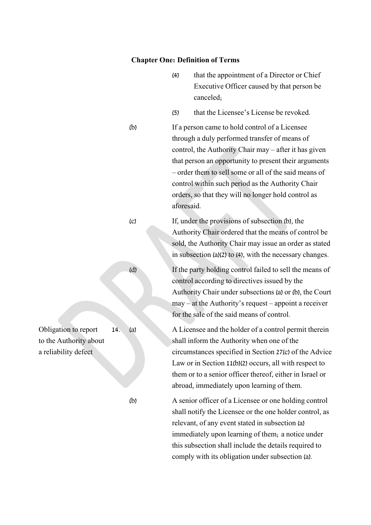- (4) that the appointment of a Director or Chief Executive Officer caused by that person be canceled;
- (5) that the Licensee's License be revoked.

(b) If a person came to hold control of a Licensee through a duly performed transfer of means of control, the Authority Chair may – after it has given that person an opportunity to present their arguments – order them to sell some or all of the said means of control within such period as the Authority Chair orders, so that they will no longer hold control as aforesaid.

(c) If, under the provisions of subsection (b), the Authority Chair ordered that the means of control be sold, the Authority Chair may issue an order as stated in subsection (a)(2) to (4), with the necessary changes.

(d) If the party holding control failed to sell the means of control according to directives issued by the Authority Chair under subsections (a) or (b), the Court may – at the Authority's request – appoint a receiver for the sale of the said means of control.

14. (a) A Licensee and the holder of a control permit therein shall inform the Authority when one of the circumstances specified in Section 27(c) of the Advice Law or in Section 11(b)(2) occurs, all with respect to them or to a senior officer thereof, either in Israel or abroad, immediately upon learning of them.

(b) A senior officer of a Licensee or one holding control shall notify the Licensee or the one holder control, as relevant, of any event stated in subsection (a) immediately upon learning of them; a notice under this subsection shall include the details required to comply with its obligation under subsection (a).

Obligation to report to the Authority about a reliability defect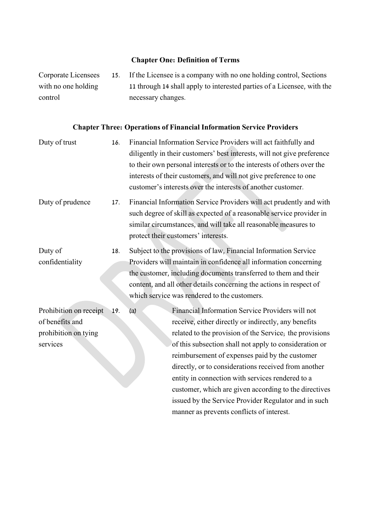Corporate Licensees with no one holding control 15. If the Licensee is a company with no one holding control, Sections 11 through 14 shall apply to interested parties of a Licensee, with the necessary changes.

### **Chapter Three: Operations of Financial Information Service Providers**

| Duty of trust                                                                 | 16. | Financial Information Service Providers will act faithfully and<br>diligently in their customers' best interests, will not give preference<br>to their own personal interests or to the interests of others over the<br>interests of their customers, and will not give preference to one<br>customer's interests over the interests of another customer. |                                                                                                                                                                                                                                                                                                                                                                                                                                                                                                                                                           |  |  |
|-------------------------------------------------------------------------------|-----|-----------------------------------------------------------------------------------------------------------------------------------------------------------------------------------------------------------------------------------------------------------------------------------------------------------------------------------------------------------|-----------------------------------------------------------------------------------------------------------------------------------------------------------------------------------------------------------------------------------------------------------------------------------------------------------------------------------------------------------------------------------------------------------------------------------------------------------------------------------------------------------------------------------------------------------|--|--|
| Duty of prudence                                                              | 17. | Financial Information Service Providers will act prudently and with<br>such degree of skill as expected of a reasonable service provider in<br>similar circumstances, and will take all reasonable measures to<br>protect their customers' interests.                                                                                                     |                                                                                                                                                                                                                                                                                                                                                                                                                                                                                                                                                           |  |  |
| Duty of<br>confidentiality                                                    | 18. |                                                                                                                                                                                                                                                                                                                                                           | Subject to the provisions of law, Financial Information Service<br>Providers will maintain in confidence all information concerning<br>the customer, including documents transferred to them and their<br>content, and all other details concerning the actions in respect of<br>which service was rendered to the customers.                                                                                                                                                                                                                             |  |  |
| Prohibition on receipt<br>of benefits and<br>prohibition on tying<br>services | 19. | (a)                                                                                                                                                                                                                                                                                                                                                       | Financial Information Service Providers will not<br>receive, either directly or indirectly, any benefits<br>related to the provision of the Service; the provisions<br>of this subsection shall not apply to consideration or<br>reimbursement of expenses paid by the customer<br>directly, or to considerations received from another<br>entity in connection with services rendered to a<br>customer, which are given according to the directives<br>issued by the Service Provider Regulator and in such<br>manner as prevents conflicts of interest. |  |  |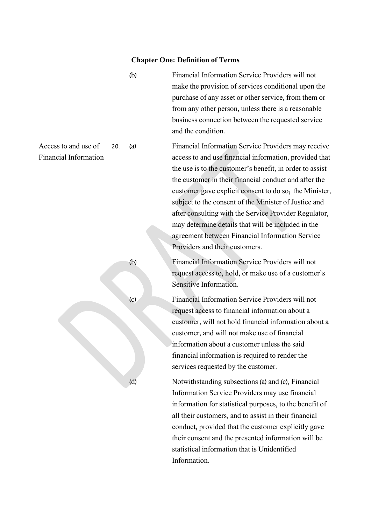|                                                             | (b) | Financial Information Service Providers will not<br>make the provision of services conditional upon the<br>purchase of any asset or other service, from them or<br>from any other person, unless there is a reasonable<br>business connection between the requested service<br>and the condition.                                                                                                                                                                                                                                                         |
|-------------------------------------------------------------|-----|-----------------------------------------------------------------------------------------------------------------------------------------------------------------------------------------------------------------------------------------------------------------------------------------------------------------------------------------------------------------------------------------------------------------------------------------------------------------------------------------------------------------------------------------------------------|
| Access to and use of<br>20.<br><b>Financial Information</b> | (a) | Financial Information Service Providers may receive<br>access to and use financial information, provided that<br>the use is to the customer's benefit, in order to assist<br>the customer in their financial conduct and after the<br>customer gave explicit consent to do so; the Minister,<br>subject to the consent of the Minister of Justice and<br>after consulting with the Service Provider Regulator,<br>may determine details that will be included in the<br>agreement between Financial Information Service<br>Providers and their customers. |
|                                                             | (b) | Financial Information Service Providers will not<br>request access to, hold, or make use of a customer's<br>Sensitive Information.                                                                                                                                                                                                                                                                                                                                                                                                                        |
|                                                             | (c) | Financial Information Service Providers will not<br>request access to financial information about a<br>customer, will not hold financial information about a<br>customer, and will not make use of financial<br>information about a customer unless the said<br>financial information is required to render the<br>services requested by the customer.                                                                                                                                                                                                    |
|                                                             | (d) | Notwithstanding subsections (a) and (c), Financial<br>Information Service Providers may use financial<br>information for statistical purposes, to the benefit of<br>all their customers, and to assist in their financial<br>conduct, provided that the customer explicitly gave                                                                                                                                                                                                                                                                          |

Information.

statistical information that is Unidentified

their consent and the presented information will be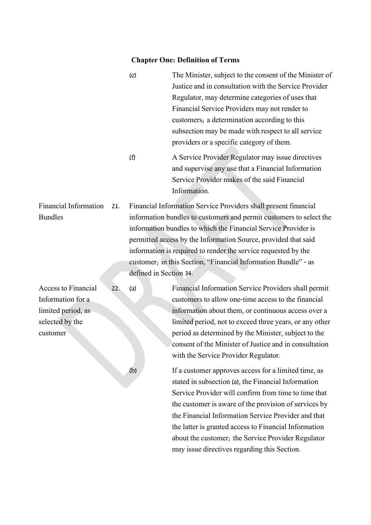|                                                                                                      |     | (e)                    | The Minister, subject to the consent of the Minister of<br>Justice and in consultation with the Service Provider<br>Regulator, may determine categories of uses that<br>Financial Service Providers may not render to<br>customers; a determination according to this<br>subsection may be made with respect to all service<br>providers or a specific category of them.                                       |
|------------------------------------------------------------------------------------------------------|-----|------------------------|----------------------------------------------------------------------------------------------------------------------------------------------------------------------------------------------------------------------------------------------------------------------------------------------------------------------------------------------------------------------------------------------------------------|
|                                                                                                      |     | (f)                    | A Service Provider Regulator may issue directives<br>and supervise any use that a Financial Information<br>Service Provider makes of the said Financial<br>Information.                                                                                                                                                                                                                                        |
| <b>Financial Information</b><br><b>Bundles</b>                                                       | 21. | defined in Section 34. | Financial Information Service Providers shall present financial<br>information bundles to customers and permit customers to select the<br>information bundles to which the Financial Service Provider is<br>permitted access by the Information Source, provided that said<br>information is required to render the service requested by the<br>customer; in this Section, "Financial Information Bundle" - as |
| <b>Access to Financial</b><br>Information for a<br>limited period, as<br>selected by the<br>customer | 22. | (a)                    | Financial Information Service Providers shall permit<br>customers to allow one-time access to the financial<br>information about them, or continuous access over a<br>limited period, not to exceed three years, or any other<br>period as determined by the Minister, subject to the<br>consent of the Minister of Justice and in consultation<br>with the Service Provider Regulator.                        |
|                                                                                                      |     | (b)                    | If a customer approves access for a limited time, as<br>stated in subsection (a) the Financial Information                                                                                                                                                                                                                                                                                                     |

stated in subsection (a), the Financial Information Service Provider will confirm from time to time that the customer is aware of the provision of services by the Financial Information Service Provider and that the latter is granted access to Financial Information about the customer; the Service Provider Regulator may issue directives regarding this Section.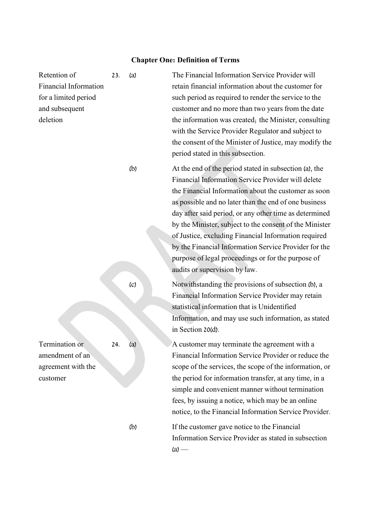| Retention of<br><b>Financial Information</b><br>for a limited period<br>and subsequent<br>deletion | 23. | (a) | The Financial Information Service Provider will<br>retain financial information about the customer for<br>such period as required to render the service to the<br>customer and no more than two years from the date<br>the information was created; the Minister, consulting<br>with the Service Provider Regulator and subject to<br>the consent of the Minister of Justice, may modify the<br>period stated in this subsection.                                                                                                                          |
|----------------------------------------------------------------------------------------------------|-----|-----|------------------------------------------------------------------------------------------------------------------------------------------------------------------------------------------------------------------------------------------------------------------------------------------------------------------------------------------------------------------------------------------------------------------------------------------------------------------------------------------------------------------------------------------------------------|
|                                                                                                    |     | (b) | At the end of the period stated in subsection (a), the<br>Financial Information Service Provider will delete<br>the Financial Information about the customer as soon<br>as possible and no later than the end of one business<br>day after said period, or any other time as determined<br>by the Minister, subject to the consent of the Minister<br>of Justice, excluding Financial Information required<br>by the Financial Information Service Provider for the<br>purpose of legal proceedings or for the purpose of<br>audits or supervision by law. |
|                                                                                                    |     | (c) | Notwithstanding the provisions of subsection (b), a<br>Financial Information Service Provider may retain<br>statistical information that is Unidentified<br>Information, and may use such information, as stated<br>in Section 20(d).                                                                                                                                                                                                                                                                                                                      |
| Termination or<br>amendment of an<br>agreement with the<br>customer                                | 24. | (a) | A customer may terminate the agreement with a<br>Financial Information Service Provider or reduce the<br>scope of the services, the scope of the information, or<br>the period for information transfer, at any time, in a<br>simple and convenient manner without termination<br>fees, by issuing a notice, which may be an online<br>notice, to the Financial Information Service Provider.                                                                                                                                                              |
|                                                                                                    |     | (b) | If the customer gave notice to the Financial<br>Information Service Provider as stated in subsection<br>$(a)$ —                                                                                                                                                                                                                                                                                                                                                                                                                                            |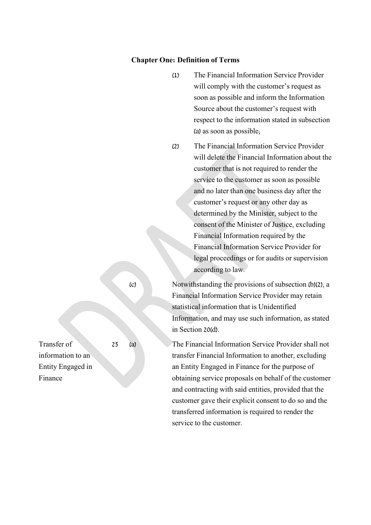- (1) The Financial Information Service Provider will comply with the customer's request as soon as possible and inform the Information Source about the customer's request with respect to the information stated in subsection (a) as soon as possible;
- (2) The Financial Information Service Provider will delete the Financial Information about the customer that is not required to render the service to the customer as soon as possible and no later than one business day after the customer's request or any other day as determined by the Minister, subject to the consent of the Minister of Justice, excluding Financial Information required by the Financial Information Service Provider for legal proceedings or for audits or supervision according to law.

(c) Notwithstanding the provisions of subsection (b)(2), a Financial Information Service Provider may retain statistical information that is Unidentified Information, and may use such information, as stated in Section 20(d).

25 (a) The Financial Information Service Provider shall not transfer Financial Information to another, excluding an Entity Engaged in Finance for the purpose of obtaining service proposals on behalf of the customer and contracting with said entities, provided that the customer gave their explicit consent to do so and the transferred information is required to render the service to the customer.

Transfer of information to an Entity Engaged in Finance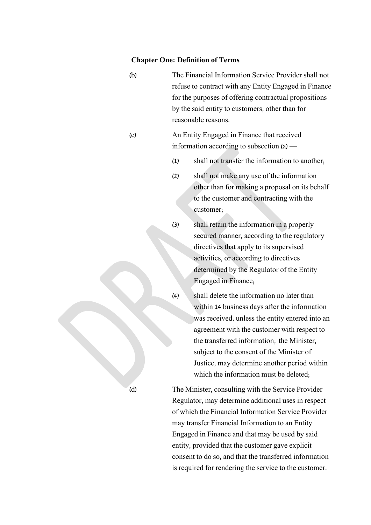- (b) The Financial Information Service Provider shall not refuse to contract with any Entity Engaged in Finance for the purposes of offering contractual propositions by the said entity to customers, other than for reasonable reasons.
- (c) An Entity Engaged in Finance that received information according to subsection (a) —
	- (1) shall not transfer the information to another;
	- (2) shall not make any use of the information other than for making a proposal on its behalf to the customer and contracting with the customer;
	- (3) shall retain the information in a properly secured manner, according to the regulatory directives that apply to its supervised activities, or according to directives determined by the Regulator of the Entity Engaged in Finance;
	- (4) shall delete the information no later than within 14 business days after the information was received, unless the entity entered into an agreement with the customer with respect to the transferred information; the Minister, subject to the consent of the Minister of Justice, may determine another period within which the information must be deleted.

(d) The Minister, consulting with the Service Provider Regulator, may determine additional uses in respect of which the Financial Information Service Provider may transfer Financial Information to an Entity Engaged in Finance and that may be used by said entity, provided that the customer gave explicit consent to do so, and that the transferred information is required for rendering the service to the customer.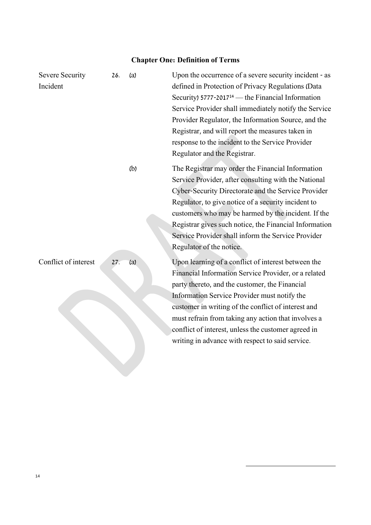| <b>Severe Security</b><br>26.<br>(a)<br>Incident |     |     | Upon the occurrence of a severe security incident - as<br>defined in Protection of Privacy Regulations (Data<br>Security) $5777 - 2017^{14}$ — the Financial Information<br>Service Provider shall immediately notify the Service<br>Provider Regulator, the Information Source, and the<br>Registrar, and will report the measures taken in<br>response to the incident to the Service Provider<br>Regulator and the Registrar.       |
|--------------------------------------------------|-----|-----|----------------------------------------------------------------------------------------------------------------------------------------------------------------------------------------------------------------------------------------------------------------------------------------------------------------------------------------------------------------------------------------------------------------------------------------|
|                                                  |     | (b) | The Registrar may order the Financial Information<br>Service Provider, after consulting with the National<br>Cyber-Security Directorate and the Service Provider<br>Regulator, to give notice of a security incident to<br>customers who may be harmed by the incident. If the<br>Registrar gives such notice, the Financial Information<br>Service Provider shall inform the Service Provider<br>Regulator of the notice.             |
| Conflict of interest                             | 27. | (a) | Upon learning of a conflict of interest between the<br>Financial Information Service Provider, or a related<br>party thereto, and the customer, the Financial<br>Information Service Provider must notify the<br>customer in writing of the conflict of interest and<br>must refrain from taking any action that involves a<br>conflict of interest, unless the customer agreed in<br>writing in advance with respect to said service. |

-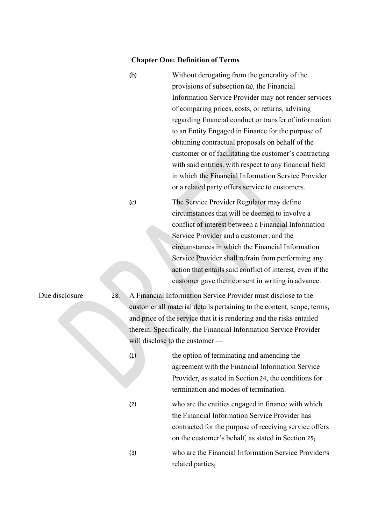(b) Without derogating from the generality of the provisions of subsection (a), the Financial Information Service Provider may not render services of comparing prices, costs, or returns, advising regarding financial conduct or transfer of information to an Entity Engaged in Finance for the purpose of obtaining contractual proposals on behalf of the customer or of facilitating the customer's contracting with said entities, with respect to any financial field in which the Financial Information Service Provider or a related party offers service to customers.

(c) The Service Provider Regulator may define circumstances that will be deemed to involve a conflict of interest between a Financial Information Service Provider and a customer, and the circumstances in which the Financial Information Service Provider shall refrain from performing any action that entails said conflict of interest, even if the customer gave their consent in writing in advance.

Due disclosure 28. A Financial Information Service Provider must disclose to the customer all material details pertaining to the content, scope, terms, and price of the service that it is rendering and the risks entailed therein. Specifically, the Financial Information Service Provider will disclose to the customer —

> (1) the option of terminating and amending the agreement with the Financial Information Service Provider, as stated in Section 24, the conditions for termination and modes of termination;

(2) who are the entities engaged in finance with which the Financial Information Service Provider has contracted for the purpose of receiving service offers on the customer's behalf, as stated in Section 25;

(3) who are the Financial Information Service Provider's related parties;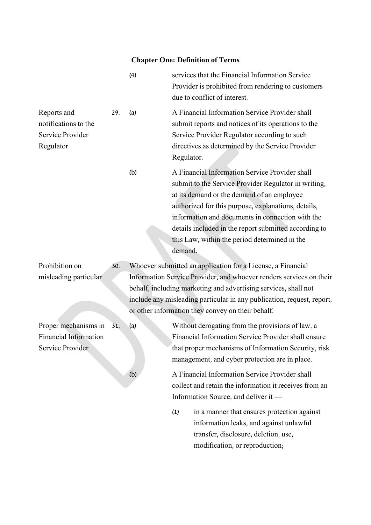|                                                                          |     | (4)               |            | services that the Financial Information Service<br>Provider is prohibited from rendering to customers<br>due to conflict of interest.                                                                                                                                                                                                                                     |
|--------------------------------------------------------------------------|-----|-------------------|------------|---------------------------------------------------------------------------------------------------------------------------------------------------------------------------------------------------------------------------------------------------------------------------------------------------------------------------------------------------------------------------|
| Reports and<br>notifications to the<br>Service Provider<br>Regulator     | 29. | (a)               | Regulator. | A Financial Information Service Provider shall<br>submit reports and notices of its operations to the<br>Service Provider Regulator according to such<br>directives as determined by the Service Provider                                                                                                                                                                 |
|                                                                          |     | (b)               | demand.    | A Financial Information Service Provider shall<br>submit to the Service Provider Regulator in writing,<br>at its demand or the demand of an employee<br>authorized for this purpose, explanations, details,<br>information and documents in connection with the<br>details included in the report submitted according to<br>this Law, within the period determined in the |
| Prohibition on<br>misleading particular                                  | 30. |                   |            | Whoever submitted an application for a License, a Financial<br>Information Service Provider, and whoever renders services on their<br>behalf, including marketing and advertising services, shall not<br>include any misleading particular in any publication, request, report,<br>or other information they convey on their behalf.                                      |
| Proper mechanisms in<br><b>Financial Information</b><br>Service Provider |     | 31.<br>(a)<br>(b) |            | Without derogating from the provisions of law, a<br>Financial Information Service Provider shall ensure<br>that proper mechanisms of Information Security, risk<br>management, and cyber protection are in place.<br>A Financial Information Service Provider shall<br>collect and retain the information it receives from an<br>Information Source, and deliver it —     |
|                                                                          |     |                   | (1)        | in a manner that ensures protection against<br>information leaks, and against unlawful<br>transfer, disclosure, deletion, use,<br>modification, or reproduction,                                                                                                                                                                                                          |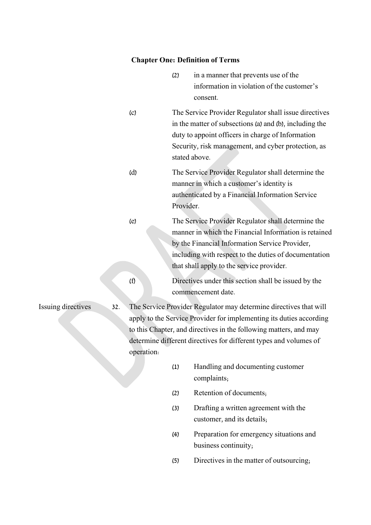|                    |     |            | (2)       | in a manner that prevents use of the<br>information in violation of the customer's<br>consent.                                                                                                                                                                                     |
|--------------------|-----|------------|-----------|------------------------------------------------------------------------------------------------------------------------------------------------------------------------------------------------------------------------------------------------------------------------------------|
|                    |     | (c)        |           | The Service Provider Regulator shall issue directives<br>in the matter of subsections (a) and (b), including the<br>duty to appoint officers in charge of Information<br>Security, risk management, and cyber protection, as<br>stated above.                                      |
| (d)<br>(e)         |     |            | Provider. | The Service Provider Regulator shall determine the<br>manner in which a customer's identity is<br>authenticated by a Financial Information Service                                                                                                                                 |
|                    |     |            |           | The Service Provider Regulator shall determine the<br>manner in which the Financial Information is retained<br>by the Financial Information Service Provider,<br>including with respect to the duties of documentation<br>that shall apply to the service provider.                |
|                    |     | (f)        |           | Directives under this section shall be issued by the<br>commencement date.                                                                                                                                                                                                         |
| Issuing directives | 32. | operation. |           | The Service Provider Regulator may determine directives that will<br>apply to the Service Provider for implementing its duties according<br>to this Chapter, and directives in the following matters, and may<br>determine different directives for different types and volumes of |
|                    |     |            | (1)       | Handling and documenting customer<br>complaints;                                                                                                                                                                                                                                   |
|                    |     |            | (2)       | Retention of documents;                                                                                                                                                                                                                                                            |
|                    |     |            | (3)       | Drafting a written agreement with the<br>customer, and its details;                                                                                                                                                                                                                |

- (4) Preparation for emergency situations and business continuity;
- (5) Directives in the matter of outsourcing;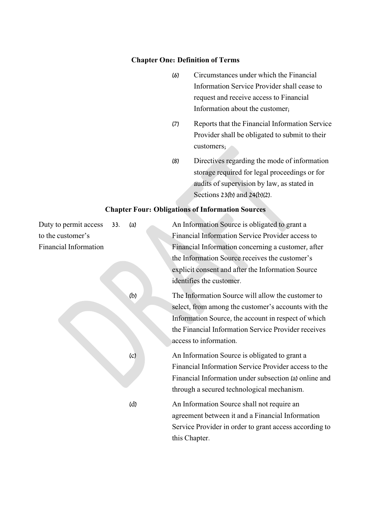- (6) Circumstances under which the Financial Information Service Provider shall cease to request and receive access to Financial Information about the customer;
- (7) Reports that the Financial Information Service Provider shall be obligated to submit to their customers;
- (8) Directives regarding the mode of information storage required for legal proceedings or for audits of supervision by law, as stated in Sections 23(b) and 24(b)(2).

## **Chapter Four: Obligations of Information Sources**

| Duty to permit access        | 33. | (a)                                                 | An Information Source is obligated to grant a          |
|------------------------------|-----|-----------------------------------------------------|--------------------------------------------------------|
| to the customer's            |     |                                                     | Financial Information Service Provider access to       |
| <b>Financial Information</b> |     |                                                     | Financial Information concerning a customer, after     |
|                              |     |                                                     | the Information Source receives the customer's         |
|                              |     |                                                     | explicit consent and after the Information Source      |
|                              |     |                                                     | identifies the customer.                               |
|                              |     | (b)                                                 | The Information Source will allow the customer to      |
|                              |     | select, from among the customer's accounts with the |                                                        |
|                              |     | Information Source, the account in respect of which |                                                        |
|                              |     | the Financial Information Service Provider receives |                                                        |
|                              |     | access to information.                              |                                                        |
|                              |     | (c)                                                 | An Information Source is obligated to grant a          |
|                              |     |                                                     | Financial Information Service Provider access to the   |
|                              |     |                                                     | Financial Information under subsection (a) online and  |
|                              |     |                                                     | through a secured technological mechanism.             |
|                              |     | (d)                                                 | An Information Source shall not require an             |
|                              |     |                                                     | agreement between it and a Financial Information       |
|                              |     |                                                     | Service Provider in order to grant access according to |
|                              |     |                                                     | this Chapter.                                          |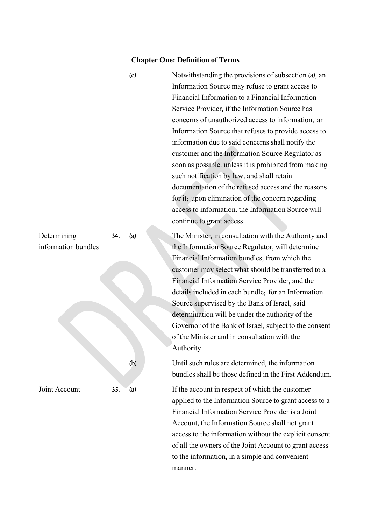|                     |     | (e) | Notwithstanding the provisions of subsection (a), an                                                        |
|---------------------|-----|-----|-------------------------------------------------------------------------------------------------------------|
|                     |     |     | Information Source may refuse to grant access to                                                            |
|                     |     |     | Financial Information to a Financial Information                                                            |
|                     |     |     | Service Provider, if the Information Source has                                                             |
|                     |     |     | concerns of unauthorized access to information; an                                                          |
|                     |     |     | Information Source that refuses to provide access to                                                        |
|                     |     |     | information due to said concerns shall notify the                                                           |
|                     |     |     | customer and the Information Source Regulator as                                                            |
|                     |     |     | soon as possible, unless it is prohibited from making                                                       |
|                     |     |     | such notification by law, and shall retain                                                                  |
|                     |     |     | documentation of the refused access and the reasons                                                         |
|                     |     |     | for it, upon elimination of the concern regarding                                                           |
|                     |     |     | access to information, the Information Source will                                                          |
|                     |     |     | continue to grant access.                                                                                   |
| Determining         | 34. | (a) | The Minister, in consultation with the Authority and                                                        |
| information bundles |     |     | the Information Source Regulator, will determine                                                            |
|                     |     |     | Financial Information bundles, from which the                                                               |
|                     |     |     | customer may select what should be transferred to a                                                         |
|                     |     |     | Financial Information Service Provider, and the                                                             |
|                     |     |     | details included in each bundle; for an Information                                                         |
|                     |     |     | Source supervised by the Bank of Israel, said                                                               |
|                     |     |     | determination will be under the authority of the                                                            |
|                     |     |     | Governor of the Bank of Israel, subject to the consent                                                      |
|                     |     |     | of the Minister and in consultation with the                                                                |
|                     |     |     | Authority.                                                                                                  |
|                     |     | (b) | Until such rules are determined, the information                                                            |
|                     |     |     | bundles shall be those defined in the First Addendum.                                                       |
| Joint Account       | 35. | (a) | If the account in respect of which the customer                                                             |
|                     |     |     | applied to the Information Source to grant access to a<br>Financial Information Service Provider is a Joint |

applied to the Information Source to grant access to a Financial Information Service Provider is a Joint Account, the Information Source shall not grant access to the information without the explicit consent of all the owners of the Joint Account to grant access to the information, in a simple and convenient manner.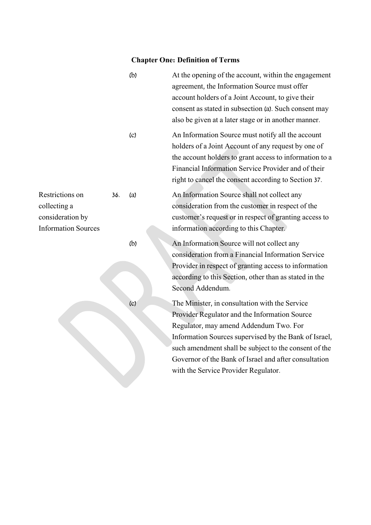|     | (b) | At the opening of the account, within the engagement<br>agreement, the Information Source must offer<br>account holders of a Joint Account, to give their<br>consent as stated in subsection (a). Such consent may<br>also be given at a later stage or in another manner.                                                                                   |
|-----|-----|--------------------------------------------------------------------------------------------------------------------------------------------------------------------------------------------------------------------------------------------------------------------------------------------------------------------------------------------------------------|
|     | (c) | An Information Source must notify all the account<br>holders of a Joint Account of any request by one of<br>the account holders to grant access to information to a<br>Financial Information Service Provider and of their<br>right to cancel the consent according to Section 37.                                                                           |
| 36. | (a) | An Information Source shall not collect any<br>consideration from the customer in respect of the<br>customer's request or in respect of granting access to<br>information according to this Chapter.                                                                                                                                                         |
|     | (b) | An Information Source will not collect any<br>consideration from a Financial Information Service<br>Provider in respect of granting access to information<br>according to this Section, other than as stated in the<br>Second Addendum.                                                                                                                      |
|     | (c) | The Minister, in consultation with the Service<br>Provider Regulator and the Information Source<br>Regulator, may amend Addendum Two. For<br>Information Sources supervised by the Bank of Israel,<br>such amendment shall be subject to the consent of the<br>Governor of the Bank of Israel and after consultation<br>with the Service Provider Regulator. |
|     |     |                                                                                                                                                                                                                                                                                                                                                              |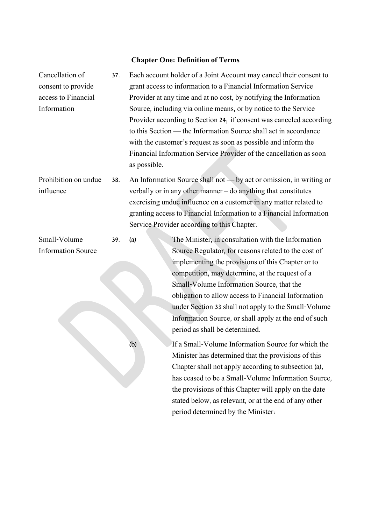Cancellation of consent to provide access to Financial Information 37. Each account holder of a Joint Account may cancel their consent to grant access to information to a Financial Information Service Provider at any time and at no cost, by notifying the Information Source, including via online means, or by notice to the Service Provider according to Section 24; if consent was canceled according to this Section — the Information Source shall act in accordance with the customer's request as soon as possible and inform the Financial Information Service Provider of the cancellation as soon as possible. Prohibition on undue influence 38. An Information Source shall not — by act or omission, in writing or verbally or in any other manner – do anything that constitutes exercising undue influence on a customer in any matter related to granting access to Financial Information to a Financial Information Service Provider according to this Chapter. Small-Volume Information Source 39. (a) The Minister, in consultation with the Information Source Regulator, for reasons related to the cost of implementing the provisions of this Chapter or to competition, may determine, at the request of a Small-Volume Information Source, that the obligation to allow access to Financial Information under Section 33 shall not apply to the Small-Volume Information Source, or shall apply at the end of such period as shall be determined. (b) If a Small-Volume Information Source for which the Minister has determined that the provisions of this Chapter shall not apply according to subsection (a), has ceased to be a Small-Volume Information Source, the provisions of this Chapter will apply on the date stated below, as relevant, or at the end of any other period determined by the Minister: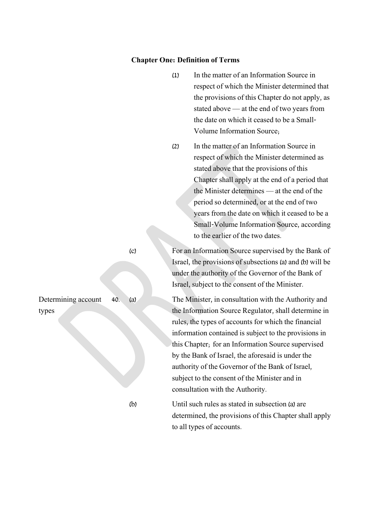|       |     |     | (1) | In the matter of an Information Source in<br>respect of which the Minister determined that<br>the provisions of this Chapter do not apply, as<br>stated above — at the end of two years from<br>the date on which it ceased to be a Small-                                                                                                                                                                                                                                        |
|-------|-----|-----|-----|-----------------------------------------------------------------------------------------------------------------------------------------------------------------------------------------------------------------------------------------------------------------------------------------------------------------------------------------------------------------------------------------------------------------------------------------------------------------------------------|
|       |     |     | (2) | Volume Information Source;<br>In the matter of an Information Source in<br>respect of which the Minister determined as<br>stated above that the provisions of this<br>Chapter shall apply at the end of a period that<br>the Minister determines — at the end of the<br>period so determined, or at the end of two<br>years from the date on which it ceased to be a<br><b>Small-Volume Information Source, according</b><br>to the earlier of the two dates.                     |
|       |     | (c) |     | For an Information Source supervised by the Bank of<br>Israel, the provisions of subsections (a) and (b) will be<br>under the authority of the Governor of the Bank of<br>Israel, subject to the consent of the Minister.                                                                                                                                                                                                                                                         |
| count | 40. | (a) |     | The Minister, in consultation with the Authority and<br>the Information Source Regulator, shall determine in<br>rules, the types of accounts for which the financial<br>information contained is subject to the provisions in<br>this Chapter; for an Information Source supervised<br>by the Bank of Israel, the aforesaid is under the<br>authority of the Governor of the Bank of Israel,<br>subject to the consent of the Minister and in<br>consultation with the Authority. |
|       |     | (b) |     | Until such rules as stated in subsection (a) are<br>determined, the provisions of this Chapter shall apply                                                                                                                                                                                                                                                                                                                                                                        |

to all types of accounts.

Determining act types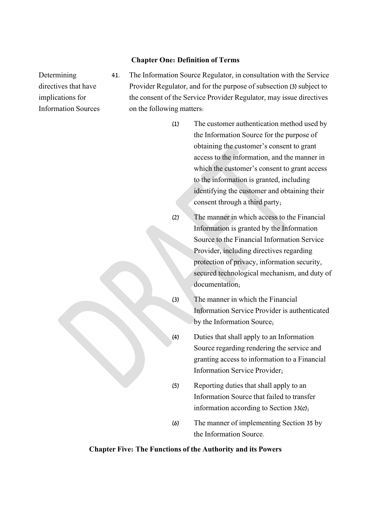Determining directives that have implications for Information Sources 41. The Information Source Regulator, in consultation with the Service Provider Regulator, and for the purpose of subsection (3) subject to the consent of the Service Provider Regulator, may issue directives on the following matters:

- (1) The customer authentication method used by the Information Source for the purpose of obtaining the customer's consent to grant access to the information, and the manner in which the customer's consent to grant access to the information is granted, including identifying the customer and obtaining their consent through a third party;
- (2) The manner in which access to the Financial Information is granted by the Information Source to the Financial Information Service Provider, including directives regarding protection of privacy, information security, secured technological mechanism, and duty of documentation;
- (3) The manner in which the Financial Information Service Provider is authenticated by the Information Source;
- (4) Duties that shall apply to an Information Source regarding rendering the service and granting access to information to a Financial Information Service Provider;
- (5) Reporting duties that shall apply to an Information Source that failed to transfer information according to Section 33(e);
- (6) The manner of implementing Section 35 by the Information Source.

#### **Chapter Five: The Functions of the Authority and its Powers**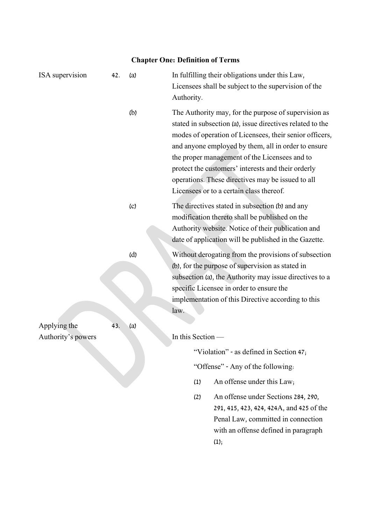| <b>ISA</b> supervision | 42. | (a) | In fulfilling their obligations under this Law,<br>Licensees shall be subject to the supervision of the<br>Authority.                                                                                                                                                                                                                                                                                                                       |  |  |  |  |  |
|------------------------|-----|-----|---------------------------------------------------------------------------------------------------------------------------------------------------------------------------------------------------------------------------------------------------------------------------------------------------------------------------------------------------------------------------------------------------------------------------------------------|--|--|--|--|--|
|                        |     | (b) | The Authority may, for the purpose of supervision as<br>stated in subsection (a), issue directives related to the<br>modes of operation of Licensees, their senior officers,<br>and anyone employed by them, all in order to ensure<br>the proper management of the Licensees and to<br>protect the customers' interests and their orderly<br>operations. These directives may be issued to all<br>Licensees or to a certain class thereof. |  |  |  |  |  |
|                        |     | (c) | The directives stated in subsection (b) and any<br>modification thereto shall be published on the<br>Authority website. Notice of their publication and<br>date of application will be published in the Gazette.                                                                                                                                                                                                                            |  |  |  |  |  |
|                        |     | (d) | Without derogating from the provisions of subsection<br>(b), for the purpose of supervision as stated in<br>subsection (a), the Authority may issue directives to a<br>specific Licensee in order to ensure the<br>implementation of this Directive according to this<br>law.                                                                                                                                                               |  |  |  |  |  |
| Applying the           | 43. | (a) |                                                                                                                                                                                                                                                                                                                                                                                                                                             |  |  |  |  |  |
| Authority's powers     |     |     | In this Section                                                                                                                                                                                                                                                                                                                                                                                                                             |  |  |  |  |  |
|                        |     |     | "Violation" - as defined in Section 47;                                                                                                                                                                                                                                                                                                                                                                                                     |  |  |  |  |  |
|                        |     |     | "Offense" - Any of the following:                                                                                                                                                                                                                                                                                                                                                                                                           |  |  |  |  |  |
|                        |     |     | An offense under this Law,<br>(1)                                                                                                                                                                                                                                                                                                                                                                                                           |  |  |  |  |  |
|                        |     |     | An offense under Sections 284, 290,<br>(2)<br>291, 415, 423, 424, 424A, and 425 of the<br>Penal Law, committed in connection<br>with an offense defined in paragraph<br>(1);                                                                                                                                                                                                                                                                |  |  |  |  |  |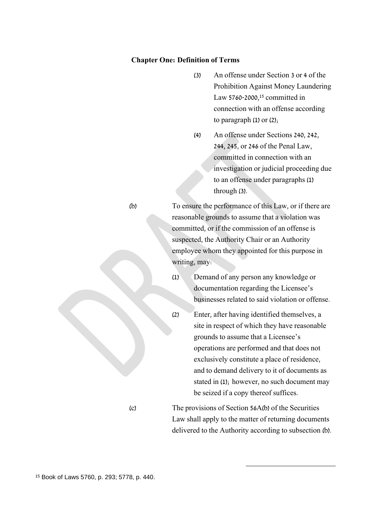- (3) An offense under Section 3 or 4 of the Prohibition Against Money Laundering Law 5760-2000,<sup>15</sup> committed in connection with an offense according to paragraph  $(1)$  or  $(2)$ ;
- (4) An offense under Sections 240, 242, 244, 245, or 246 of the Penal Law, committed in connection with an investigation or judicial proceeding due to an offense under paragraphs (1) through (3).

(b) To ensure the performance of this Law, or if there are reasonable grounds to assume that a violation was committed, or if the commission of an offense is suspected, the Authority Chair or an Authority employee whom they appointed for this purpose in writing, may:

- (1) Demand of any person any knowledge or documentation regarding the Licensee's businesses related to said violation or offense.
- (2) Enter, after having identified themselves, a site in respect of which they have reasonable grounds to assume that a Licensee's operations are performed and that does not exclusively constitute a place of residence, and to demand delivery to it of documents as stated in (1); however, no such document may be seized if a copy thereof suffices.
- 

(c) The provisions of Section 56A(b) of the Securities Law shall apply to the matter of returning documents delivered to the Authority according to subsection (b).

-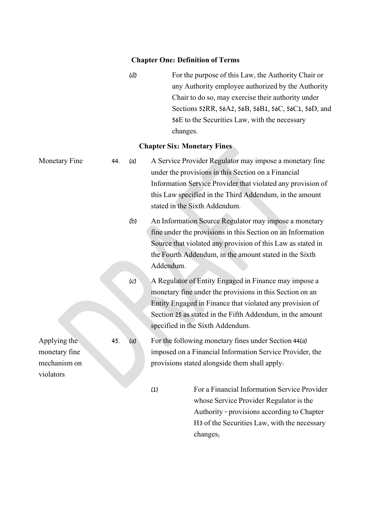(d) For the purpose of this Law, the Authority Chair or

any Authority employee authorized by the Authority

Chair to do so, may exercise their authority under Sections 52RR, 56A2, 56B, 56B1, 56C, 56C1, 56D, and 56E to the Securities Law, with the necessary changes. **Chapter Six: Monetary Fines**  Monetary Fine 44. (a) A Service Provider Regulator may impose a monetary fine under the provisions in this Section on a Financial Information Service Provider that violated any provision of this Law specified in the Third Addendum, in the amount stated in the Sixth Addendum. (b) An Information Source Regulator may impose a monetary fine under the provisions in this Section on an Information Source that violated any provision of this Law as stated in the Fourth Addendum, in the amount stated in the Sixth Addendum. (c) A Regulator of Entity Engaged in Finance may impose a monetary fine under the provisions in this Section on an Entity Engaged in Finance that violated any provision of Section 25 as stated in the Fifth Addendum, in the amount specified in the Sixth Addendum. Applying the

monetary fine mechanism on

violators

45. (a) For the following monetary fines under Section 44(a) imposed on a Financial Information Service Provider, the provisions stated alongside them shall apply:

> (1) For a Financial Information Service Provider whose Service Provider Regulator is the Authority - provisions according to Chapter H3 of the Securities Law, with the necessary changes;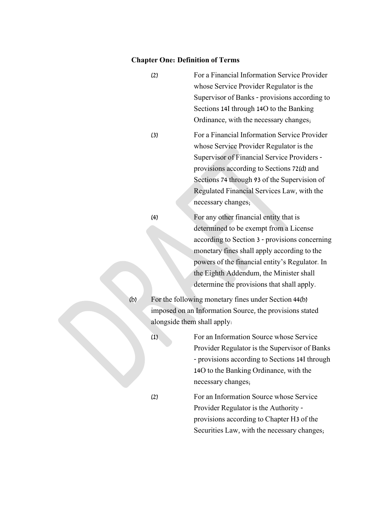|     | (2) | For a Financial Information Service Provider<br>whose Service Provider Regulator is the<br>Supervisor of Banks - provisions according to<br>Sections 14I through 14O to the Banking<br>Ordinance, with the necessary changes,                                                                                                |
|-----|-----|------------------------------------------------------------------------------------------------------------------------------------------------------------------------------------------------------------------------------------------------------------------------------------------------------------------------------|
|     | (3) | For a Financial Information Service Provider<br>whose Service Provider Regulator is the<br>Supervisor of Financial Service Providers -<br>provisions according to Sections 72(d) and<br>Sections 74 through 93 of the Supervision of<br>Regulated Financial Services Law, with the<br>necessary changes;                     |
|     | (4) | For any other financial entity that is<br>determined to be exempt from a License<br>according to Section 3 - provisions concerning<br>monetary fines shall apply according to the<br>powers of the financial entity's Regulator. In<br>the Eighth Addendum, the Minister shall<br>determine the provisions that shall apply. |
| (b) |     | For the following monetary fines under Section 44(b)<br>imposed on an Information Source, the provisions stated                                                                                                                                                                                                              |
|     | (1) | alongside them shall apply.<br>For an Information Source whose Service<br>Provider Regulator is the Supervisor of Banks<br>- provisions according to Sections 14I through<br>14O to the Banking Ordinance, with the<br>necessary changes;                                                                                    |
|     | (2) | For an Information Source whose Service<br>Provider Regulator is the Authority -<br>provisions according to Chapter H3 of the<br>Securities Law, with the necessary changes,                                                                                                                                                 |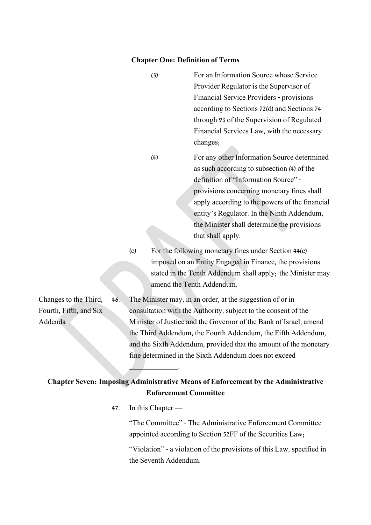|                                                            |     |     | (3) | For an Information Source whose Service<br>Provider Regulator is the Supervisor of<br>Financial Service Providers - provisions<br>according to Sections 72(d) and Sections 74<br>through 93 of the Supervision of Regulated<br>Financial Services Law, with the necessary<br>changes;                                                                                                         |
|------------------------------------------------------------|-----|-----|-----|-----------------------------------------------------------------------------------------------------------------------------------------------------------------------------------------------------------------------------------------------------------------------------------------------------------------------------------------------------------------------------------------------|
|                                                            |     |     | (4) | For any other Information Source determined<br>as such according to subsection (4) of the<br>definition of "Information Source" -<br>provisions concerning monetary fines shall<br>apply according to the powers of the financial<br>entity's Regulator. In the Ninth Addendum,<br>the Minister shall determine the provisions<br>that shall apply.                                           |
|                                                            |     | (c) |     | For the following monetary fines under Section 44(c)<br>imposed on an Entity Engaged in Finance, the provisions<br>stated in the Tenth Addendum shall apply; the Minister may<br>amend the Tenth Addendum.                                                                                                                                                                                    |
| Changes to the Third,<br>Fourth, Fifth, and Six<br>Addenda | 46. |     |     | The Minister may, in an order, at the suggestion of or in<br>consultation with the Authority, subject to the consent of the<br>Minister of Justice and the Governor of the Bank of Israel, amend<br>the Third Addendum, the Fourth Addendum, the Fifth Addendum,<br>and the Sixth Addendum, provided that the amount of the monetary<br>fine determined in the Sixth Addendum does not exceed |

# **Chapter Seven: Imposing Administrative Means of Enforcement by the Administrative Enforcement Committee**

47. In this Chapter —

"The Committee" - The Administrative Enforcement Committee appointed according to Section 52FF of the Securities Law;

"Violation" - a violation of the provisions of this Law, specified in the Seventh Addendum.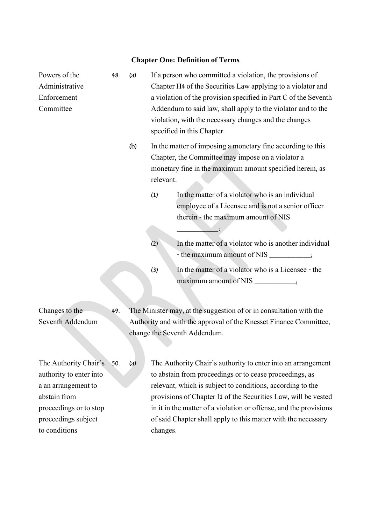| Powers of the<br>Administrative<br>Enforcement<br>Committee | 48. | (a)<br>(b) | If a person who committed a violation, the provisions of<br>Chapter H <sub>4</sub> of the Securities Law applying to a violator and<br>a violation of the provision specified in Part C of the Seventh<br>Addendum to said law, shall apply to the violator and to the<br>violation, with the necessary changes and the changes<br>specified in this Chapter.<br>In the matter of imposing a monetary fine according to this<br>Chapter, the Committee may impose on a violator a<br>monetary fine in the maximum amount specified herein, as |                                                                                                                                                                         |  |
|-------------------------------------------------------------|-----|------------|-----------------------------------------------------------------------------------------------------------------------------------------------------------------------------------------------------------------------------------------------------------------------------------------------------------------------------------------------------------------------------------------------------------------------------------------------------------------------------------------------------------------------------------------------|-------------------------------------------------------------------------------------------------------------------------------------------------------------------------|--|
|                                                             |     |            | relevant:                                                                                                                                                                                                                                                                                                                                                                                                                                                                                                                                     |                                                                                                                                                                         |  |
|                                                             |     |            | (1)                                                                                                                                                                                                                                                                                                                                                                                                                                                                                                                                           | In the matter of a violator who is an individual<br>employee of a Licensee and is not a senior officer<br>therein - the maximum amount of NIS                           |  |
|                                                             |     |            | (2)                                                                                                                                                                                                                                                                                                                                                                                                                                                                                                                                           | In the matter of a violator who is another individual<br>- the maximum amount of NIS ___________;                                                                       |  |
|                                                             |     |            | (3)                                                                                                                                                                                                                                                                                                                                                                                                                                                                                                                                           | In the matter of a violator who is a Licensee - the<br>maximum amount of NIS ___________;                                                                               |  |
|                                                             |     |            |                                                                                                                                                                                                                                                                                                                                                                                                                                                                                                                                               |                                                                                                                                                                         |  |
| Changes to the<br>Seventh Addendum                          | 49. |            |                                                                                                                                                                                                                                                                                                                                                                                                                                                                                                                                               | The Minister may, at the suggestion of or in consultation with the<br>Authority and with the approval of the Knesset Finance Committee,<br>change the Seventh Addendum. |  |
|                                                             |     |            |                                                                                                                                                                                                                                                                                                                                                                                                                                                                                                                                               |                                                                                                                                                                         |  |
| The Authority Chair's                                       | 50. | (a)        |                                                                                                                                                                                                                                                                                                                                                                                                                                                                                                                                               | The Authority Chair's authority to enter into an arrangement                                                                                                            |  |
| authority to enter into                                     |     |            |                                                                                                                                                                                                                                                                                                                                                                                                                                                                                                                                               | to abstain from proceedings or to cease proceedings, as                                                                                                                 |  |
| a an arrangement to                                         |     |            |                                                                                                                                                                                                                                                                                                                                                                                                                                                                                                                                               | relevant, which is subject to conditions, according to the                                                                                                              |  |
| abstain from                                                |     |            |                                                                                                                                                                                                                                                                                                                                                                                                                                                                                                                                               | provisions of Chapter I1 of the Securities Law, will be vested                                                                                                          |  |
| proceedings or to stop                                      |     |            |                                                                                                                                                                                                                                                                                                                                                                                                                                                                                                                                               | in it in the matter of a violation or offense, and the provisions                                                                                                       |  |
| proceedings subject                                         |     |            |                                                                                                                                                                                                                                                                                                                                                                                                                                                                                                                                               | of said Chapter shall apply to this matter with the necessary                                                                                                           |  |
| to conditions                                               |     |            | changes.                                                                                                                                                                                                                                                                                                                                                                                                                                                                                                                                      |                                                                                                                                                                         |  |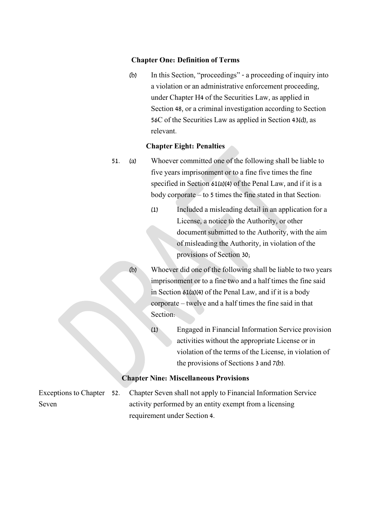(b) In this Section, "proceedings" - a proceeding of inquiry into a violation or an administrative enforcement proceeding, under Chapter H4 of the Securities Law, as applied in Section 48, or a criminal investigation according to Section 56C of the Securities Law as applied in Section 43(d), as relevant.

### **Chapter Eight: Penalties**

- 51. (a) Whoever committed one of the following shall be liable to five years imprisonment or to a fine five times the fine specified in Section 61(a)(4) of the Penal Law, and if it is a body corporate – to 5 times the fine stated in that Section:
	- (1) Included a misleading detail in an application for a License, a notice to the Authority, or other document submitted to the Authority, with the aim of misleading the Authority, in violation of the provisions of Section 30;
	- (b) Whoever did one of the following shall be liable to two years imprisonment or to a fine two and a half times the fine said in Section 61(a)(4) of the Penal Law, and if it is a body corporate – twelve and a half times the fine said in that Section:
		- (1) Engaged in Financial Information Service provision activities without the appropriate License or in violation of the terms of the License, in violation of the provisions of Sections 3 and 7(b).

#### **Chapter Nine: Miscellaneous Provisions**

Exceptions to Chapter 52. Seven 52. Chapter Seven shall not apply to Financial Information Service activity performed by an entity exempt from a licensing requirement under Section 4.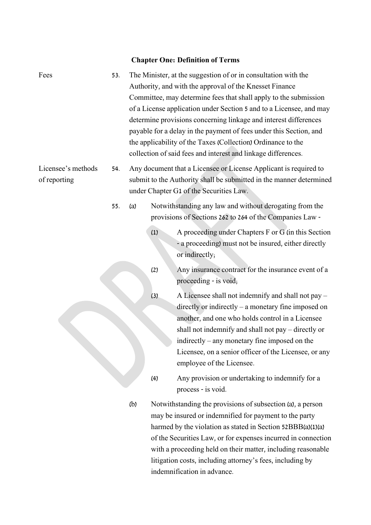| Fees                               | 53. | The Minister, at the suggestion of or in consultation with the<br>Authority, and with the approval of the Knesset Finance<br>Committee, may determine fees that shall apply to the submission<br>of a License application under Section 5 and to a Licensee, and may<br>determine provisions concerning linkage and interest differences<br>payable for a delay in the payment of fees under this Section, and<br>the applicability of the Taxes (Collection) Ordinance to the<br>collection of said fees and interest and linkage differences. |     |                                                                                                                                                                                                                                                                                                                                                                                                                  |  |  |  |
|------------------------------------|-----|-------------------------------------------------------------------------------------------------------------------------------------------------------------------------------------------------------------------------------------------------------------------------------------------------------------------------------------------------------------------------------------------------------------------------------------------------------------------------------------------------------------------------------------------------|-----|------------------------------------------------------------------------------------------------------------------------------------------------------------------------------------------------------------------------------------------------------------------------------------------------------------------------------------------------------------------------------------------------------------------|--|--|--|
| Licensee's methods<br>of reporting | 54. | Any document that a Licensee or License Applicant is required to<br>submit to the Authority shall be submitted in the manner determined<br>under Chapter G1 of the Securities Law.                                                                                                                                                                                                                                                                                                                                                              |     |                                                                                                                                                                                                                                                                                                                                                                                                                  |  |  |  |
| 55.                                |     | (a)                                                                                                                                                                                                                                                                                                                                                                                                                                                                                                                                             |     | Notwithstanding any law and without derogating from the<br>provisions of Sections 262 to 264 of the Companies Law -                                                                                                                                                                                                                                                                                              |  |  |  |
|                                    |     |                                                                                                                                                                                                                                                                                                                                                                                                                                                                                                                                                 | (1) | A proceeding under Chapters F or G (in this Section<br>- a proceeding) must not be insured, either directly<br>or indirectly;                                                                                                                                                                                                                                                                                    |  |  |  |
|                                    |     |                                                                                                                                                                                                                                                                                                                                                                                                                                                                                                                                                 | (2) | Any insurance contract for the insurance event of a<br>proceeding - is void;                                                                                                                                                                                                                                                                                                                                     |  |  |  |
|                                    |     |                                                                                                                                                                                                                                                                                                                                                                                                                                                                                                                                                 | (3) | A Licensee shall not indemnify and shall not pay –<br>directly or indirectly – a monetary fine imposed on<br>another, and one who holds control in a Licensee<br>shall not indemnify and shall not pay – directly or<br>indirectly – any monetary fine imposed on the<br>Licensee, on a senior officer of the Licensee, or any<br>employee of the Licensee.                                                      |  |  |  |
|                                    |     |                                                                                                                                                                                                                                                                                                                                                                                                                                                                                                                                                 | (4) | Any provision or undertaking to indemnify for a<br>process - is void.                                                                                                                                                                                                                                                                                                                                            |  |  |  |
|                                    |     | (b)                                                                                                                                                                                                                                                                                                                                                                                                                                                                                                                                             |     | Notwithstanding the provisions of subsection (a), a person<br>may be insured or indemnified for payment to the party<br>harmed by the violation as stated in Section 52BBB(a)(1)(a)<br>of the Securities Law, or for expenses incurred in connection<br>with a proceeding held on their matter, including reasonable<br>litigation costs, including attorney's fees, including by<br>indemnification in advance. |  |  |  |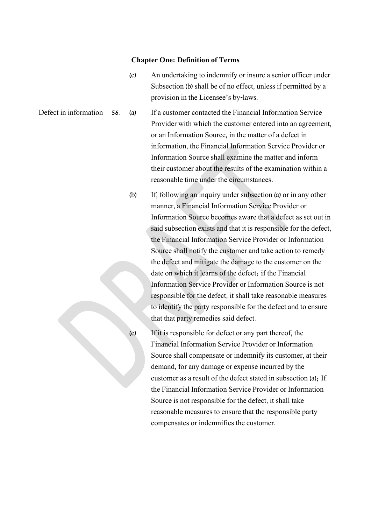|                       |     | (c) | An undertaking to indemnify or insure a senior officer under<br>Subsection (b) shall be of no effect, unless if permitted by a<br>provision in the Licensee's by-laws.                                                                                                                                                                                                                                                                                                                                                                                                                                                                                                                                                                                |
|-----------------------|-----|-----|-------------------------------------------------------------------------------------------------------------------------------------------------------------------------------------------------------------------------------------------------------------------------------------------------------------------------------------------------------------------------------------------------------------------------------------------------------------------------------------------------------------------------------------------------------------------------------------------------------------------------------------------------------------------------------------------------------------------------------------------------------|
| Defect in information | 56. | (a) | If a customer contacted the Financial Information Service<br>Provider with which the customer entered into an agreement,<br>or an Information Source, in the matter of a defect in<br>information, the Financial Information Service Provider or<br>Information Source shall examine the matter and inform<br>their customer about the results of the examination within a<br>reasonable time under the circumstances.                                                                                                                                                                                                                                                                                                                                |
|                       |     | (b) | If, following an inquiry under subsection (a) or in any other<br>manner, a Financial Information Service Provider or<br>Information Source becomes aware that a defect as set out in<br>said subsection exists and that it is responsible for the defect,<br>the Financial Information Service Provider or Information<br>Source shall notify the customer and take action to remedy<br>the defect and mitigate the damage to the customer on the<br>date on which it learns of the defect; if the Financial<br>Information Service Provider or Information Source is not<br>responsible for the defect, it shall take reasonable measures<br>to identify the party responsible for the defect and to ensure<br>that that party remedies said defect. |
|                       |     | (c) | If it is responsible for defect or any part thereof, the<br>Financial Information Service Provider or Information<br>Source shall compensate or indemnify its customer, at their<br>demand, for any damage or expense incurred by the<br>customer as a result of the defect stated in subsection (a); If<br>the Financial Information Service Provider or Information<br>Source is not responsible for the defect, it shall take<br>reasonable measures to ensure that the responsible party<br>compensates or indemnifies the customer.                                                                                                                                                                                                              |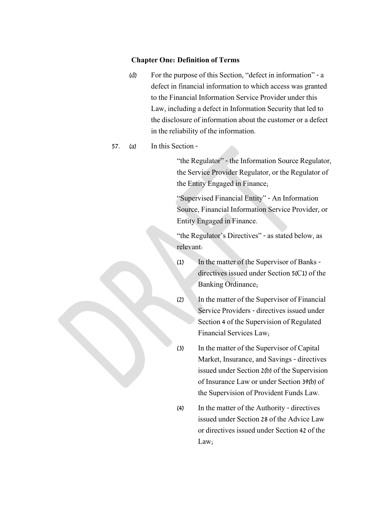(d) For the purpose of this Section, "defect in information" - a defect in financial information to which access was granted to the Financial Information Service Provider under this Law, including a defect in Information Security that led to the disclosure of information about the customer or a defect in the reliability of the information.

### 57. (a) In this Section -

"the Regulator" - the Information Source Regulator, the Service Provider Regulator, or the Regulator of the Entity Engaged in Finance;

"Supervised Financial Entity" - An Information Source, Financial Information Service Provider, or Entity Engaged in Finance.

"the Regulator's Directives" - as stated below, as relevant:

- (1) In the matter of the Supervisor of Banks directives issued under Section 5(C1) of the Banking Ordinance;
- (2) In the matter of the Supervisor of Financial Service Providers - directives issued under Section 4 of the Supervision of Regulated Financial Services Law;
- (3) In the matter of the Supervisor of Capital Market, Insurance, and Savings - directives issued under Section 2(b) of the Supervision of Insurance Law or under Section 39(b) of the Supervision of Provident Funds Law.
- (4) In the matter of the Authority directives issued under Section 28 of the Advice Law or directives issued under Section 42 of the Law;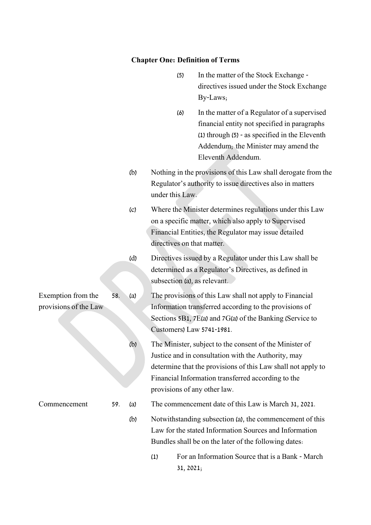|                                             |     |     |                 | (5)       | In the matter of the Stock Exchange -<br>directives issued under the Stock Exchange<br>By-Laws;                                                                                                                                                                      |
|---------------------------------------------|-----|-----|-----------------|-----------|----------------------------------------------------------------------------------------------------------------------------------------------------------------------------------------------------------------------------------------------------------------------|
|                                             |     |     |                 | (6)       | In the matter of a Regulator of a supervised<br>financial entity not specified in paragraphs<br>$(1)$ through $(5)$ - as specified in the Eleventh<br>Addendum; the Minister may amend the<br>Eleventh Addendum.                                                     |
|                                             |     | (b) | under this Law. |           | Nothing in the provisions of this Law shall derogate from the<br>Regulator's authority to issue directives also in matters                                                                                                                                           |
|                                             |     | (c) |                 |           | Where the Minister determines regulations under this Law<br>on a specific matter, which also apply to Supervised<br>Financial Entities, the Regulator may issue detailed<br>directives on that matter.                                                               |
|                                             |     | (d) |                 |           | Directives issued by a Regulator under this Law shall be<br>determined as a Regulator's Directives, as defined in<br>subsection (a), as relevant.                                                                                                                    |
| Exemption from the<br>provisions of the Law | 58. | (a) |                 |           | The provisions of this Law shall not apply to Financial<br>Information transferred according to the provisions of<br>Sections 5B1, 7E(a) and 7G(a) of the Banking (Service to<br>Customers) Law 5741-1981.                                                           |
|                                             |     | (b) |                 |           | The Minister, subject to the consent of the Minister of<br>Justice and in consultation with the Authority, may<br>determine that the provisions of this Law shall not apply to<br>Financial Information transferred according to the<br>provisions of any other law. |
| Commencement                                | 59. | (a) |                 |           | The commencement date of this Law is March 31, 2021.                                                                                                                                                                                                                 |
|                                             |     | (b) |                 |           | Notwithstanding subsection (a), the commencement of this<br>Law for the stated Information Sources and Information<br>Bundles shall be on the later of the following dates.                                                                                          |
|                                             |     |     | (1)             | 31, 2021; | For an Information Source that is a Bank - March                                                                                                                                                                                                                     |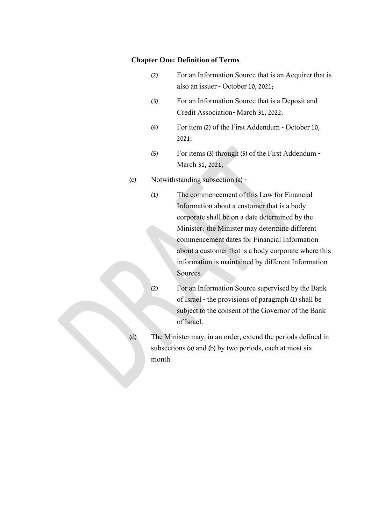| (2)                              | For an Information Source that is an Acquirer that is<br>also an issuer - October 10, 2021;                                                                                                                                                                                                                                                                             |  |  |  |  |
|----------------------------------|-------------------------------------------------------------------------------------------------------------------------------------------------------------------------------------------------------------------------------------------------------------------------------------------------------------------------------------------------------------------------|--|--|--|--|
| (3)                              | For an Information Source that is a Deposit and<br>Credit Association-March 31, 2022;                                                                                                                                                                                                                                                                                   |  |  |  |  |
| (4)                              | For item (2) of the First Addendum - October 10,<br>2021;                                                                                                                                                                                                                                                                                                               |  |  |  |  |
| (5)                              | For items (3) through (5) of the First Addendum -<br>March 31, 2021;                                                                                                                                                                                                                                                                                                    |  |  |  |  |
| Notwithstanding subsection (a) - |                                                                                                                                                                                                                                                                                                                                                                         |  |  |  |  |
| (1)                              | The commencement of this Law for Financial<br>Information about a customer that is a body<br>corporate shall be on a date determined by the<br>Minister, the Minister may determine different<br>commencement dates for Financial Information<br>about a customer that is a body corporate where this<br>information is maintained by different Information<br>Sources. |  |  |  |  |
| (2)                              | For an Information Source supervised by the Bank<br>of Israel - the provisions of paragraph (1) shall be<br>subject to the consent of the Governor of the Bank<br>of Israel.                                                                                                                                                                                            |  |  |  |  |
|                                  |                                                                                                                                                                                                                                                                                                                                                                         |  |  |  |  |

(d) The Minister may, in an order, extend the periods defined in subsections (a) and (b) by two periods, each at most six month.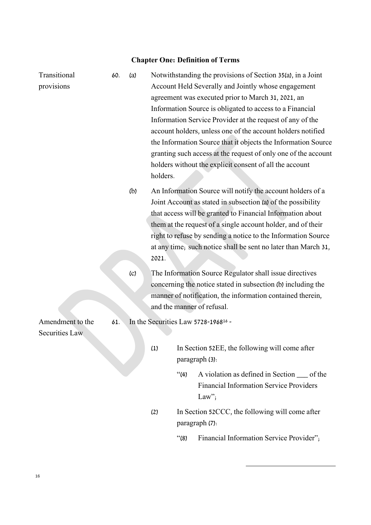| Transitional          | 60. | (a) | Notwithstanding the provisions of Section 35(a), in a Joint  |     |                                                                |  |  |
|-----------------------|-----|-----|--------------------------------------------------------------|-----|----------------------------------------------------------------|--|--|
| provisions            |     |     |                                                              |     | Account Held Severally and Jointly whose engagement            |  |  |
|                       |     |     |                                                              |     | agreement was executed prior to March 31, 2021, an             |  |  |
|                       |     |     |                                                              |     | Information Source is obligated to access to a Financial       |  |  |
|                       |     |     |                                                              |     | Information Service Provider at the request of any of the      |  |  |
|                       |     |     |                                                              |     | account holders, unless one of the account holders notified    |  |  |
|                       |     |     |                                                              |     | the Information Source that it objects the Information Source  |  |  |
|                       |     |     |                                                              |     | granting such access at the request of only one of the account |  |  |
|                       |     |     |                                                              |     | holders without the explicit consent of all the account        |  |  |
|                       |     |     | holders.                                                     |     |                                                                |  |  |
|                       |     | (b) |                                                              |     | An Information Source will notify the account holders of a     |  |  |
|                       |     |     |                                                              |     | Joint Account as stated in subsection (a) of the possibility   |  |  |
|                       |     |     |                                                              |     | that access will be granted to Financial Information about     |  |  |
|                       |     |     |                                                              |     | them at the request of a single account holder, and of their   |  |  |
|                       |     |     |                                                              |     | right to refuse by sending a notice to the Information Source  |  |  |
|                       |     |     |                                                              |     | at any time; such notice shall be sent no later than March 31, |  |  |
|                       |     |     | 2021.                                                        |     |                                                                |  |  |
|                       |     | (c) | The Information Source Regulator shall issue directives      |     |                                                                |  |  |
|                       |     |     | concerning the notice stated in subsection (b) including the |     |                                                                |  |  |
|                       |     |     | manner of notification, the information contained therein,   |     |                                                                |  |  |
|                       |     |     | and the manner of refusal.                                   |     |                                                                |  |  |
| Amendment to the      | 61. |     |                                                              |     | In the Securities Law 5728-1968 <sup>16</sup> -                |  |  |
| <b>Securities Law</b> |     |     |                                                              |     |                                                                |  |  |
|                       |     |     |                                                              |     |                                                                |  |  |
|                       |     |     | (1)                                                          |     | In Section 52EE, the following will come after                 |  |  |
|                       |     |     |                                                              |     | paragraph (3):                                                 |  |  |
|                       |     |     |                                                              | (4) | A violation as defined in Section _____ of the                 |  |  |
|                       |     |     |                                                              |     | <b>Financial Information Service Providers</b>                 |  |  |
|                       |     |     |                                                              |     | Law";                                                          |  |  |
|                       |     |     | (2)                                                          |     | In Section 52CCC, the following will come after                |  |  |
|                       |     |     |                                                              |     | paragraph (7):                                                 |  |  |
|                       |     |     |                                                              |     |                                                                |  |  |

"(8) Financial Information Service Provider";

-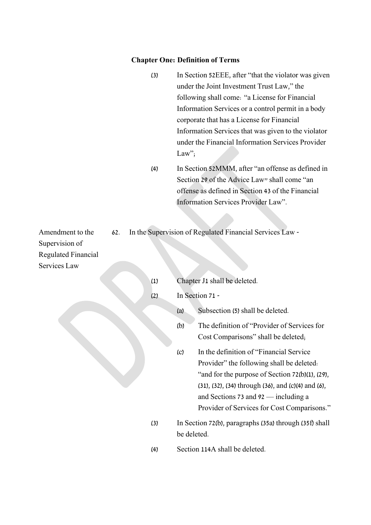- (3) In Section 52EEE, after "that the violator was given under the Joint Investment Trust Law," the following shall come: "a License for Financial Information Services or a control permit in a body corporate that has a License for Financial Information Services that was given to the violator under the Financial Information Services Provider Law";
- (4) In Section 52MMM, after "an offense as defined in Section 29 of the Advice Law" shall come "an offense as defined in Section 43 of the Financial Information Services Provider Law".

62. In the Supervision of Regulated Financial Services Law -

Amendment to the Supervision of Regulated Financial Services Law

| Chapter J1 shall be deleted. |
|------------------------------|
|                              |

(2) In Section 71 -

(a) Subsection (5) shall be deleted.

- (b) The definition of "Provider of Services for Cost Comparisons" shall be deleted;
- (c) In the definition of "Financial Service Provider" the following shall be deleted: "and for the purpose of Section 72(b)(1), (29), (31), (32), (34) through (36), and (c)(4) and (6), and Sections 73 and 92 — including a Provider of Services for Cost Comparisons."
- (3) In Section 72(b), paragraphs (35a) through (35f) shall be deleted.
- (4) Section 114A shall be deleted.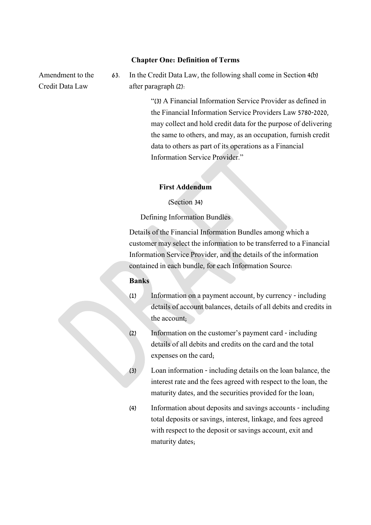Amendment to the Credit Data Law

63. In the Credit Data Law, the following shall come in Section 4(b) after paragraph (2):

> "(3) A Financial Information Service Provider as defined in the Financial Information Service Providers Law 5780-2020, may collect and hold credit data for the purpose of delivering the same to others, and may, as an occupation, furnish credit data to others as part of its operations as a Financial Information Service Provider."

### **First Addendum**

(Section 34)

Defining Information Bundles

Details of the Financial Information Bundles among which a customer may select the information to be transferred to a Financial Information Service Provider, and the details of the information contained in each bundle, for each Information Source:

#### **Banks**

- (1) Information on a payment account, by currency including details of account balances, details of all debits and credits in the account;
- (2) Information on the customer's payment card including details of all debits and credits on the card and the total expenses on the card;
- (3) Loan information including details on the loan balance, the interest rate and the fees agreed with respect to the loan, the maturity dates, and the securities provided for the loan;
- (4) Information about deposits and savings accounts including total deposits or savings, interest, linkage, and fees agreed with respect to the deposit or savings account, exit and maturity dates;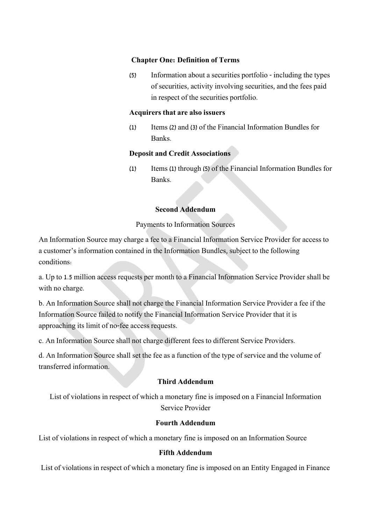(5) Information about a securities portfolio - including the types of securities, activity involving securities, and the fees paid in respect of the securities portfolio.

### **Acquirers that are also issuers**

(1) Items (2) and (3) of the Financial Information Bundles for Banks.

### **Deposit and Credit Associations**

(1) Items (1) through (5) of the Financial Information Bundles for Banks.

### **Second Addendum**

### Payments to Information Sources

An Information Source may charge a fee to a Financial Information Service Provider for access to a customer's information contained in the Information Bundles, subject to the following conditions:

a. Up to 1.5 million access requests per month to a Financial Information Service Provider shall be with no charge.

b. An Information Source shall not charge the Financial Information Service Provider a fee if the Information Source failed to notify the Financial Information Service Provider that it is approaching its limit of no-fee access requests.

c. An Information Source shall not charge different fees to different Service Providers.

d. An Information Source shall set the fee as a function of the type of service and the volume of transferred information.

### **Third Addendum**

List of violations in respect of which a monetary fine is imposed on a Financial Information Service Provider

### **Fourth Addendum**

List of violations in respect of which a monetary fine is imposed on an Information Source

### **Fifth Addendum**

List of violations in respect of which a monetary fine is imposed on an Entity Engaged in Finance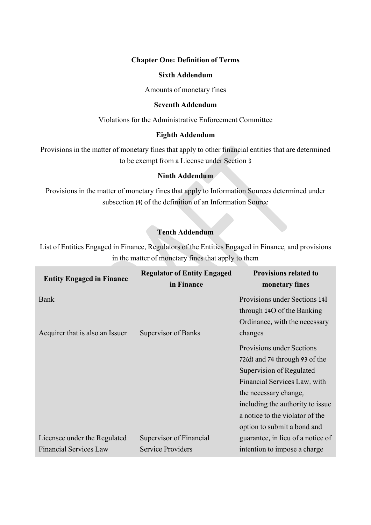### **Sixth Addendum**

Amounts of monetary fines

### **Seventh Addendum**

Violations for the Administrative Enforcement Committee

### **Eighth Addendum**

Provisions in the matter of monetary fines that apply to other financial entities that are determined to be exempt from a License under Section 3

### **Ninth Addendum**

Provisions in the matter of monetary fines that apply to Information Sources determined under subsection (4) of the definition of an Information Source

### **Tenth Addendum**

List of Entities Engaged in Finance, Regulators of the Entities Engaged in Finance, and provisions in the matter of monetary fines that apply to them

| <b>Entity Engaged in Finance</b> | <b>Regulator of Entity Engaged</b><br>in Finance | <b>Provisions related to</b><br>monetary fines              |
|----------------------------------|--------------------------------------------------|-------------------------------------------------------------|
| <b>Bank</b>                      |                                                  | Provisions under Sections 14I<br>through 140 of the Banking |
| Acquirer that is also an Issuer  | Supervisor of Banks                              | Ordinance, with the necessary<br>changes                    |
|                                  |                                                  | <b>Provisions under Sections</b>                            |
|                                  |                                                  | 72(d) and 74 through 93 of the                              |
|                                  |                                                  | Supervision of Regulated                                    |
|                                  |                                                  | Financial Services Law, with                                |
|                                  |                                                  | the necessary change,                                       |
|                                  |                                                  | including the authority to issue                            |
|                                  |                                                  | a notice to the violator of the                             |
|                                  |                                                  | option to submit a bond and                                 |
| Licensee under the Regulated     | Supervisor of Financial                          | guarantee, in lieu of a notice of                           |
| <b>Financial Services Law</b>    | <b>Service Providers</b>                         | intention to impose a charge                                |